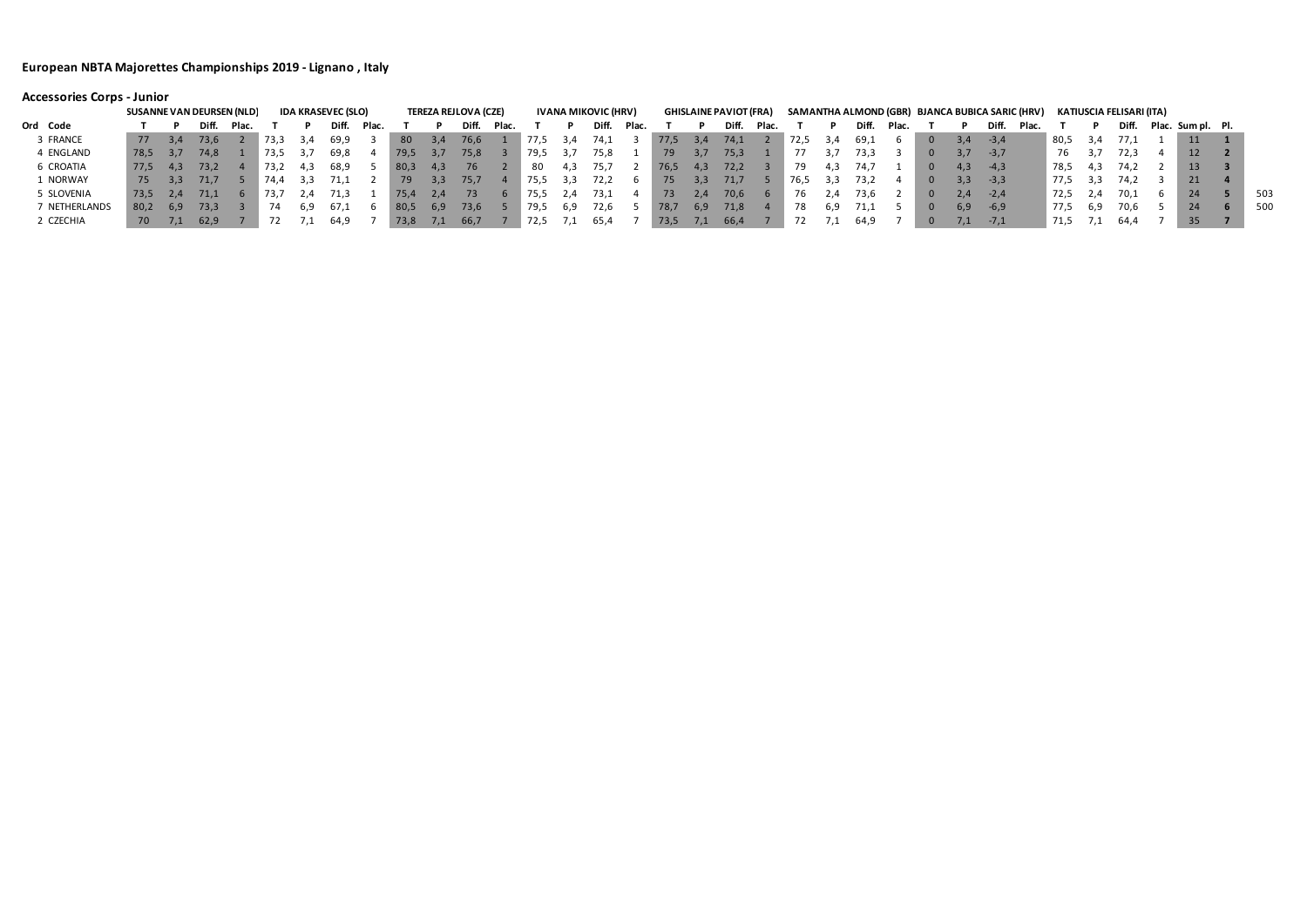## **Accessories Corps - Junior**

|               | <b>SUSANNE VAN DEURSEN (NLD)</b> |     |       |       |      |     | <b>IDA KRASEVEC (SLO)</b> |       |        |      | <b>TEREZA REJLOVA (CZE)</b> |        |      |       | <b>IVANA MIKOVIC (HRV)</b> |       |        |     | <b>GHISLAINE PAVIOT (FRA)</b> |       |      |     |       |       |                |     | SAMANTHA ALMOND (GBR) BJANCA BUBICA SARIC (HRV) |       |      |     | KATIUSCIA FELISARI (ITA) |                   |     |
|---------------|----------------------------------|-----|-------|-------|------|-----|---------------------------|-------|--------|------|-----------------------------|--------|------|-------|----------------------------|-------|--------|-----|-------------------------------|-------|------|-----|-------|-------|----------------|-----|-------------------------------------------------|-------|------|-----|--------------------------|-------------------|-----|
| Ord Code      |                                  |     | Diff. | Plac. |      |     | Diff.                     | Plac. |        |      | Diff.                       | - Plac |      |       | Diff.                      | Plac. |        |     | Diff.                         | Plac. |      |     | Diff. | Plac. |                |     | Diff.                                           | Plac. |      |     | Diff.                    | Plac. Sum pl. Pl. |     |
| 3 FRANCE      | 77                               | 3.4 | 73,6  |       | 73.3 | 3.4 | 69,9                      |       | 80     | -3.4 | 76,6                        |        | 77.5 |       | 74,1                       |       | 77,5   | 3,4 | 74,1                          |       | 72,5 | 3.4 | 69,1  | 6     | $\bf{0}$       | 3.4 | $-3,4$                                          |       | 80,5 | 3,4 | 77,1                     | 11                |     |
| 4 ENGLAND     | -78,5                            |     | 74,8  |       | 73.5 |     | 69,8                      |       | 79,5   |      | 75,8                        |        | 79,5 | -3,7  | 75,8                       |       | 79     |     | 75,3                          |       |      |     | 73.3  |       | $\Omega$       | 3.7 | $-3,7$                                          |       | 76   |     | 72.3                     | 12                |     |
| 6 CROATIA     | 77.5                             | 4.3 | 73,2  |       | 73.2 | 4.3 | 68,9                      |       | - 80,3 | 4,3  | 76                          |        | 80   | 4.3   | 75,7                       |       | -76,5  | 4,3 | 72,2                          |       | 79   |     | 74.7  |       | $\Omega$       | 4.3 | $-4.3$                                          |       | 78,5 | 4.3 | 74.2                     | 13                |     |
| 1 NORWAY      | 75                               | 3,3 | 71,7  |       | 74.4 | 3,3 |                           |       | 79     | 3,3  | 75,7                        |        | 75,5 | - 3,3 | 72,2                       |       | 75     |     | 71,7                          |       | 76,5 | 3,3 | 73.2  |       | $\bf{0}$       | 3,3 | $-3,3$                                          |       | 77,5 | 3.3 | 74.2                     | 21 <sup>1</sup>   |     |
| 5 SLOVENIA    | 73,5                             | 2.4 | 71,1  |       | 13.1 | 2.4 | 71,3                      |       | 75,4   | 2.4  |                             |        |      | 2,4   | 73,1                       |       | 73     | 2.4 | 70,6                          |       | 76   |     | 73,6  |       | $\overline{0}$ | 2.4 | $-2,4$                                          |       | 72,5 | Z,4 | 70.1                     | 24                | 503 |
| 7 NETHERLANDS | -80,2                            | 6.9 | 73,3  |       | 74   | 6.9 | 6/1                       |       | - 80,5 | 6,9  | 73,6                        |        | 79,5 | -6,9  | 72,6                       |       | - 78,7 | 6,9 | 71,8                          |       | 78   | 6.9 | 71,1  |       | $\overline{0}$ | 6.9 | $-6,9$                                          |       | 77,5 | 6.9 | 70,6                     | 24                | 500 |
| 2 CZECHIA     | 70                               | 7.1 | 62,9  |       |      |     | 64,9                      |       | 73,8   | 1,1  | -66,7                       |        | 72,5 |       | 65,4                       |       | - 73,5 |     | -66,4                         |       | 72   |     | 64,9  |       | $\bf{0}$       | 7,1 | $-7,1$                                          |       | 71,5 |     | 64,4                     | 35 <sub>1</sub>   |     |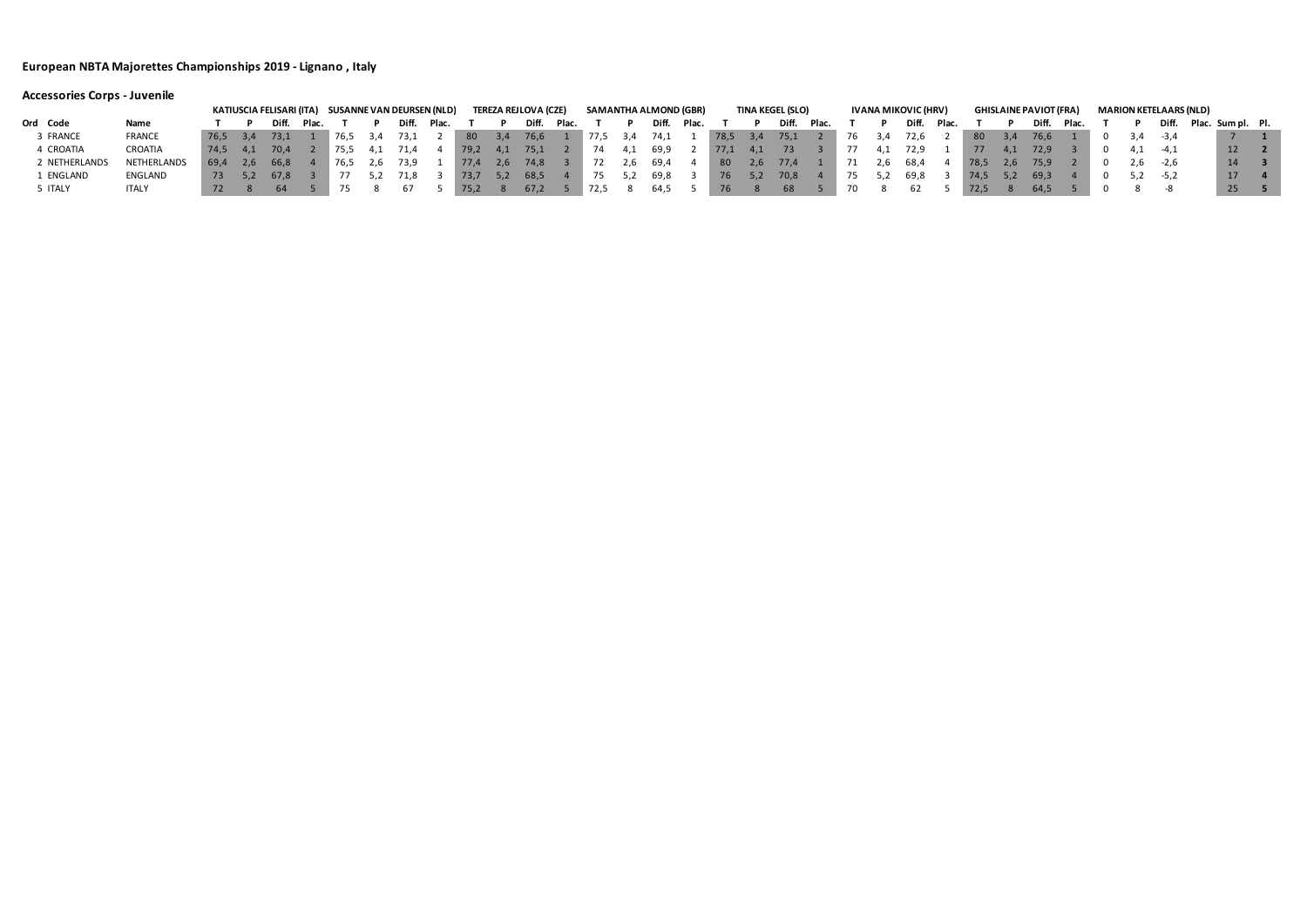|               |               |          |     |       |       | KATIUSCIA FELISARI (ITA)     SUSANNE VAN DEURSEN (NLD) |      |               |       |               |     | TEREZA REJLOVA (CZE) |       | SAMANTHA ALMOND (GBR) |       |       |       |      |     | TINA KEGEL (SLO) |       |     |      | IVANA MIKOVIC (HRV) |       |      |      | <b>GHISLAINE PAVIOT (FRA)</b> |       |     | <b>MARION KETELAARS (NLD)</b> |                   |                 |  |
|---------------|---------------|----------|-----|-------|-------|--------------------------------------------------------|------|---------------|-------|---------------|-----|----------------------|-------|-----------------------|-------|-------|-------|------|-----|------------------|-------|-----|------|---------------------|-------|------|------|-------------------------------|-------|-----|-------------------------------|-------------------|-----------------|--|
| Ord Code      | Name          |          |     | Diff. | Plac. |                                                        |      | Diff.         | Plac. |               |     | Diff.                | Plac. |                       |       | Diff. | Plac. |      |     | Diff.            | Plac. |     |      | Diff.               | Plac. |      |      | Diff.                         | Plac. |     |                               | Plac. Sum pl. Pl. |                 |  |
| 3 FRANCE      | <b>FRANCE</b> | 76,5 3,4 |     | 73,1  |       | 76,5                                                   | -3.4 | 73,1          |       | 80            | 3.4 | 76,6                 |       | $\blacksquare$ 77,5   | - 3,4 | 74,1  |       | 78,5 | 3,4 | 75,1             |       | 76  | -3,4 | 72,6                |       | 80   | -3,4 | 76,6                          |       |     | $-3,4$                        |                   |                 |  |
| 4 CROATIA     | CROATIA       | 74.5     | 4.1 | -70.4 |       | 75.5                                                   |      | 71.4          |       | 79,2          | 4,1 | 75,1                 |       | 74                    |       | 69,9  |       | 77,1 | 4,1 |                  |       |     | 4.1  | 72.9                |       | 77   | 4.1  | 72.9                          |       |     | $-4,1$                        |                   | 12              |  |
| 2 NETHERLANDS | NETHERLANDS   | 69.4     | 2.6 | 66,8  |       |                                                        |      | 76,5 2,6 73,9 |       | $\sqrt{77.4}$ | 2,6 | 74,8                 |       | 72                    | z, b  | 69,4  |       | 80   | 2,6 | 77,4             |       | -71 | 2.6  | - 68,4              |       | 78,5 | 2.b  | 75,9                          |       | 2.6 | $-2.6$                        |                   | 14              |  |
| 1 ENGLAND     | ENGLAND       | 73 5.2   |     | 67.8  |       |                                                        |      | 71.8          |       | 73,7          |     | 68,5                 |       | 75                    |       | 69,8  |       | 76   | 5,2 | 70,8             |       | 75  | 5.2  | 69,8                |       | 74,5 | 5,2  | 69.3                          |       |     | $5,2$ $-5,2$                  |                   | 17              |  |
| 5 ITALY       | <b>ITALY</b>  |          |     |       |       |                                                        |      |               |       | $\sqrt{75.2}$ |     | 67,2                 |       | 72,5                  |       | 64,5  |       |      |     |                  |       |     |      |                     |       |      |      |                               |       |     |                               |                   | 25 <sub>1</sub> |  |

# **Accessories Corps - Juvenile**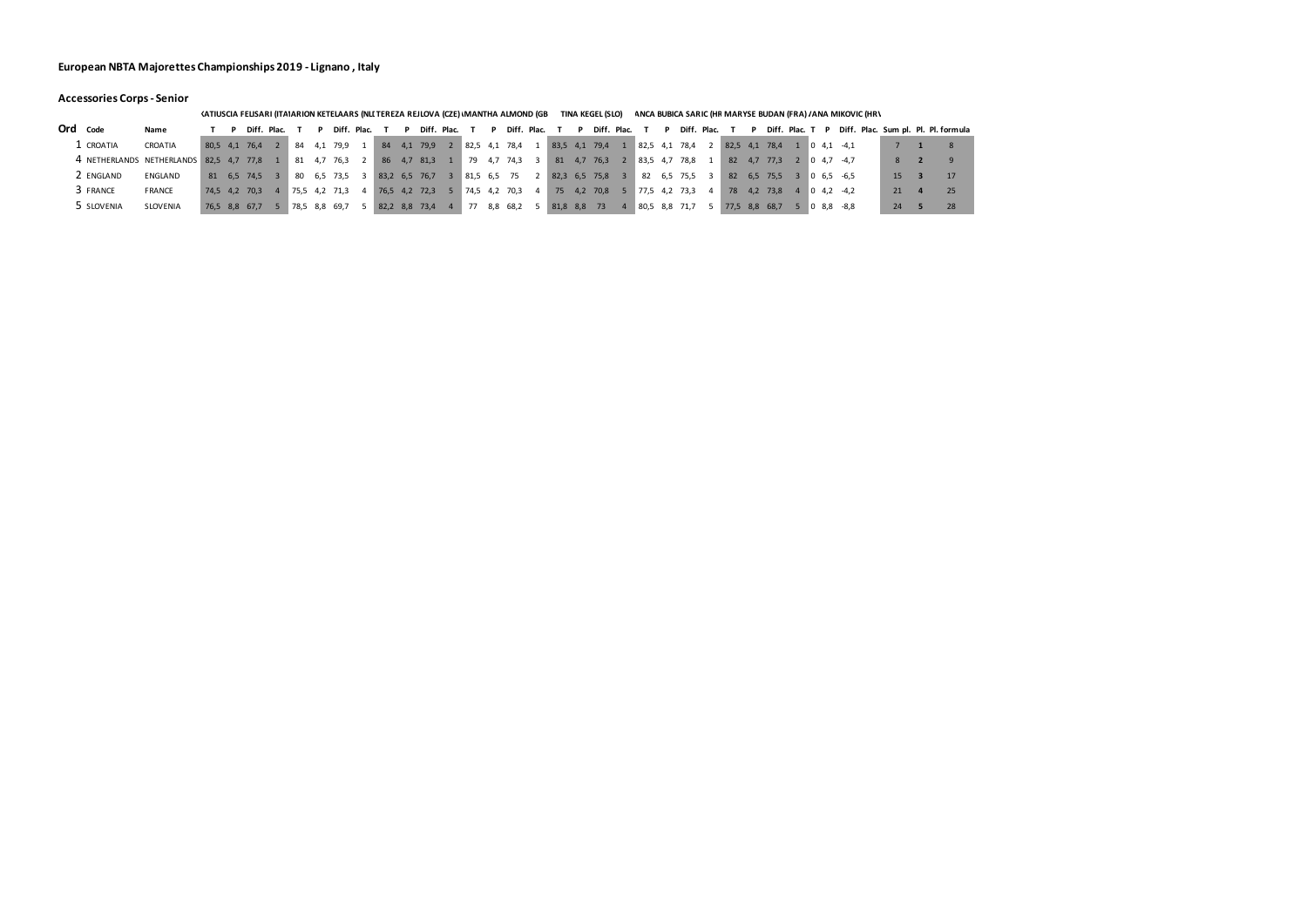### **Accessories Corps - Senior**

|                                         |                 |               |          |             |     |               |             |               |     |             |                 |     | (ATIUSCIA FELISARI (ITAIARION KETELAARS (NLI TEREZA REJLOVA (CZE) \MANTHA ALMOND |              |               |     | TINA KEGEL (SLO) |                                       |             |               |                 |                         | ANCA BUBICA SARIC (HF MARYSE BUDAN (FRA) / ANA MIKOVIC (HR\ |    |                                     |
|-----------------------------------------|-----------------|---------------|----------|-------------|-----|---------------|-------------|---------------|-----|-------------|-----------------|-----|----------------------------------------------------------------------------------|--------------|---------------|-----|------------------|---------------------------------------|-------------|---------------|-----------------|-------------------------|-------------------------------------------------------------|----|-------------------------------------|
| Ord Code                                | Name            |               |          | Diff. Plac. |     |               | Diff. Plac. |               |     | Diff. Plac. |                 | D   | Diff. Plac.                                                                      |              |               |     | Diff. Plac.      |                                       | Diff. Plac. |               | Diff. Plac. T P |                         |                                                             |    | Diff. Plac. Sum pl. Pl. Pl. formula |
| . CROATIA                               | CROATIA         | 80.5 4.1 76.4 |          |             | 84  | 4.1           | 79.9        | 84            | 4.1 | 79,9        | $82,5$ 4,1 78,4 |     |                                                                                  |              | 83,5 4,1 79,4 |     |                  | 82,5 4,1                              | 78.4        | 82,5 4,1 78,4 |                 | $0 \t4.1 \t-4.1$        |                                                             |    |                                     |
| 4 NETHERLANDS NETHERLANDS 82,5 4,7 77,8 |                 |               |          |             | 81  | 4.7           | 76,3        | 86            |     | 4,7 81,3    | 79              | 4,7 | 74,3                                                                             | $\mathbf{R}$ | 81            | 4.7 | 76,3             | 83,54,7                               | 78,8        | 82            | 4.7 77.3        | 2 0 4.7 -4.7            |                                                             |    | $\Omega$                            |
| 2 ENGLAND                               | ENGLAND         | 81            | 6.5 74.5 |             | -80 |               | 6,5 73,5    | 83,2 6,5 76,7 |     |             | 81,5 6,5        |     | - 75                                                                             |              |               |     | 82,3 6,5 75,8    | 82                                    | 6,5 75,5 3  |               | 82 6,5 75,5     | $3 \t 0 \t 6.5 \t -6.5$ |                                                             | 15 |                                     |
| 3 FRANCE                                | <b>FRANCE</b>   | 74.5 4.2      | 70.3     |             |     | 75,54,271,3   |             | 76,5 4,2 72,3 |     |             | 74,5 4,2        |     | 70,3                                                                             | 4            | 75            | 4.2 | 70,8             | $5 \mid 77.5 \mid 4.2 \mid 73.3 \mid$ |             |               | 78 4,2 73,8     | $4 \t 0 \t 4.2 \t -4.2$ |                                                             | 21 | 25                                  |
| 5 SLOVENIA                              | <b>SLOVENIA</b> | 76,5 8,8 67,7 |          |             |     | 78,5 8,8 69,7 |             | 82,2 8,8 73,4 |     |             | 77              |     | 8,8 68,2                                                                         |              | 81,8 8,8      |     | -73              | $80,5$ 8,8 71,7                       |             | 77,5 8,8 68,7 |                 | $08.8 - 8.8$            |                                                             | 24 |                                     |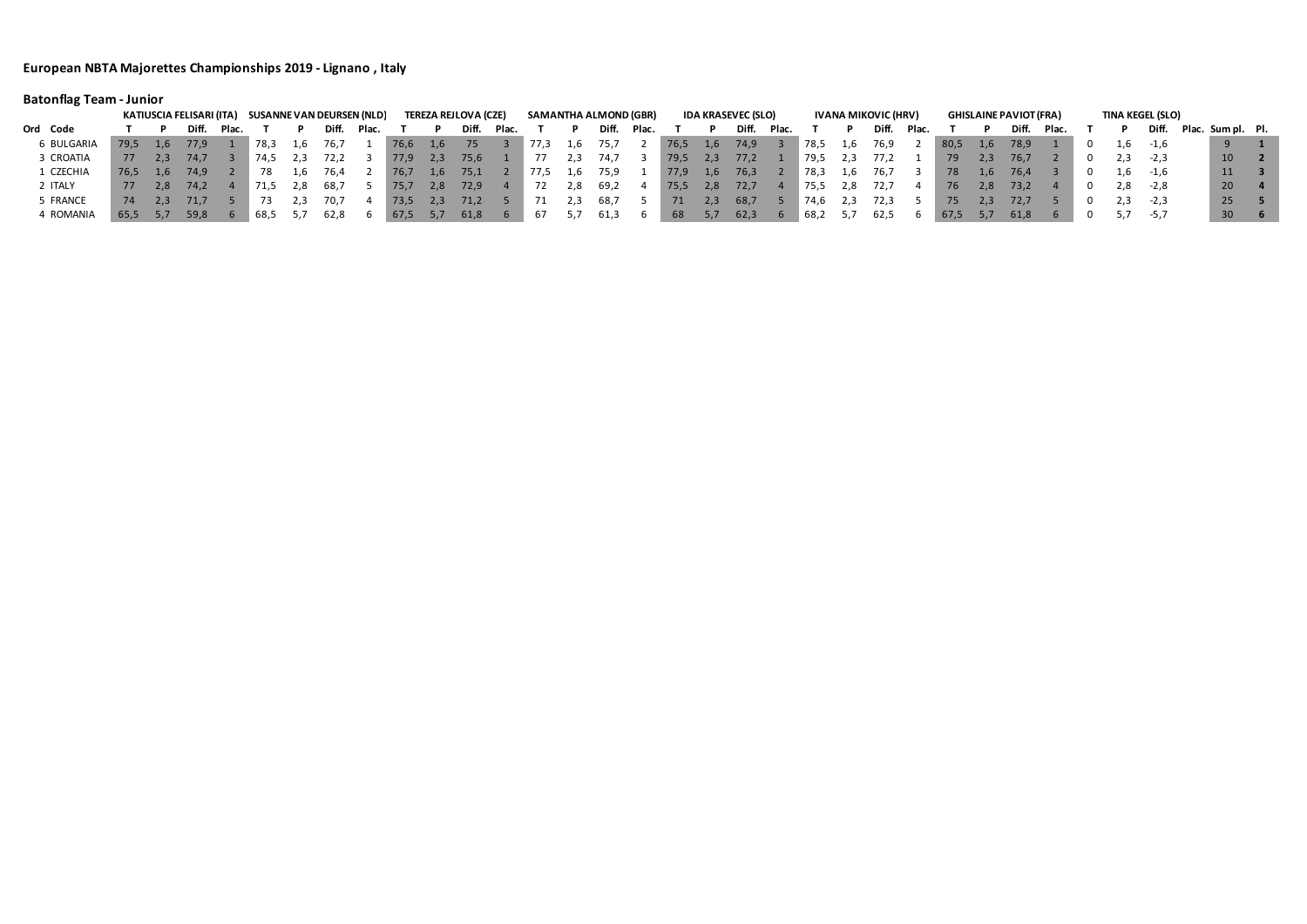# **Batonflag Team - Junior**

|            |      |     |       |       | KATIUSCIA FELISARI (ITA) SUSANNE VAN DEURSEN (NLD) |     |       |             |      |      | <b>TEREZA REJLOVA (CZE)</b> |       |          |     | <b>SAMANTHA ALMOND (GBR)</b> |       |      |     | <b>IDA KRASEVEC (SLO)</b> |       |      |     | IVANA MIKOVIC (HRV) |       |      |     | <b>GHISLAINE PAVIOT (FRA)</b> |       |     | <b>TINA KEGEL (SLO)</b> |                         |                 |  |
|------------|------|-----|-------|-------|----------------------------------------------------|-----|-------|-------------|------|------|-----------------------------|-------|----------|-----|------------------------------|-------|------|-----|---------------------------|-------|------|-----|---------------------|-------|------|-----|-------------------------------|-------|-----|-------------------------|-------------------------|-----------------|--|
| Ord Code   |      |     | Diff. | Plac. |                                                    |     | Diff. | <b>Plac</b> |      |      | Diff.                       | Plac. |          |     | Diff.                        | Plac. |      |     | Diff.                     | Plac. |      |     | Diff.               | Plac. |      |     | Diff.                         | Plac. |     |                         | Diff. Plac. Sum pl. Pl. |                 |  |
| 6 BULGARIA | 79,5 | 1.6 | 77,9  |       | 78,3                                               | 1.6 | 76,7  |             | 76,6 | 1,6  |                             |       | 77,3     | 1,b | 75,7                         |       | 76,5 | 1,6 | 74,9                      |       | 78,5 | 1,6 | 76,9                |       | 80,5 | 1,6 | 78,9                          |       | 1,b | -1.6                    |                         |                 |  |
| 3 CROATIA  | 77   | 2.3 |       |       | 74.5                                               |     | 72,2  |             | 77,9 | -2,3 | 75,6                        |       |          |     | 74.7                         |       | 79,5 | 2,3 | 77,2                      |       | 79,5 |     |                     |       | 79   | 2.3 | 76,7                          |       |     | $-2,3$                  |                         | 10 <sup>°</sup> |  |
| L CZECHIA  | 76.5 | 1.6 | 74,9  |       | 78                                                 | L.b | 76,4  |             | 76,7 | 1,6  | 75,1                        |       | 77,5     | 1,6 | 75,9                         |       | 77,9 | 1,6 | 76,3                      |       | 78,3 | 1.6 | 76,7                |       | 78   | 1.6 | 76,4                          |       |     | 1,6 -1,6                |                         | 11              |  |
| 2 ITALY    | 77   | 2.8 | 74,2  |       | 71,5                                               | 2.8 | -68.7 |             | 75,7 | 2,8  | 72,9                        |       |          | 2,8 | 69,2                         |       | 75,5 | 2,8 | 72,7                      |       | 75,5 | 2,8 | 72.7                |       | 76   | 2,8 | 73,2                          |       | 2,8 | $-2,8$                  |                         | 20              |  |
| 5 FRANCE   | 74   | 2.3 | 71.7  |       |                                                    |     |       |             | 73,5 |      | 71,2                        |       |          |     | 68,7                         |       | 71   | 2.3 | 68,7                      |       | 74.6 |     | 72,3                |       | /5   |     | 72,7                          |       |     | $-2,3$                  |                         | 25              |  |
| 4 ROMANIA  | 65,5 |     | 59,8  |       | 68,5                                               |     | 62,8  |             | 67,5 |      | 61,8                        |       | $\sigma$ | 5,7 | 61,3                         |       | 68   | 5,1 | 62,3                      |       | 68,2 |     | 62,5                |       | 67,5 | 5,1 | 61,8                          |       | 5,7 | -5,7                    |                         | 30 <sup>°</sup> |  |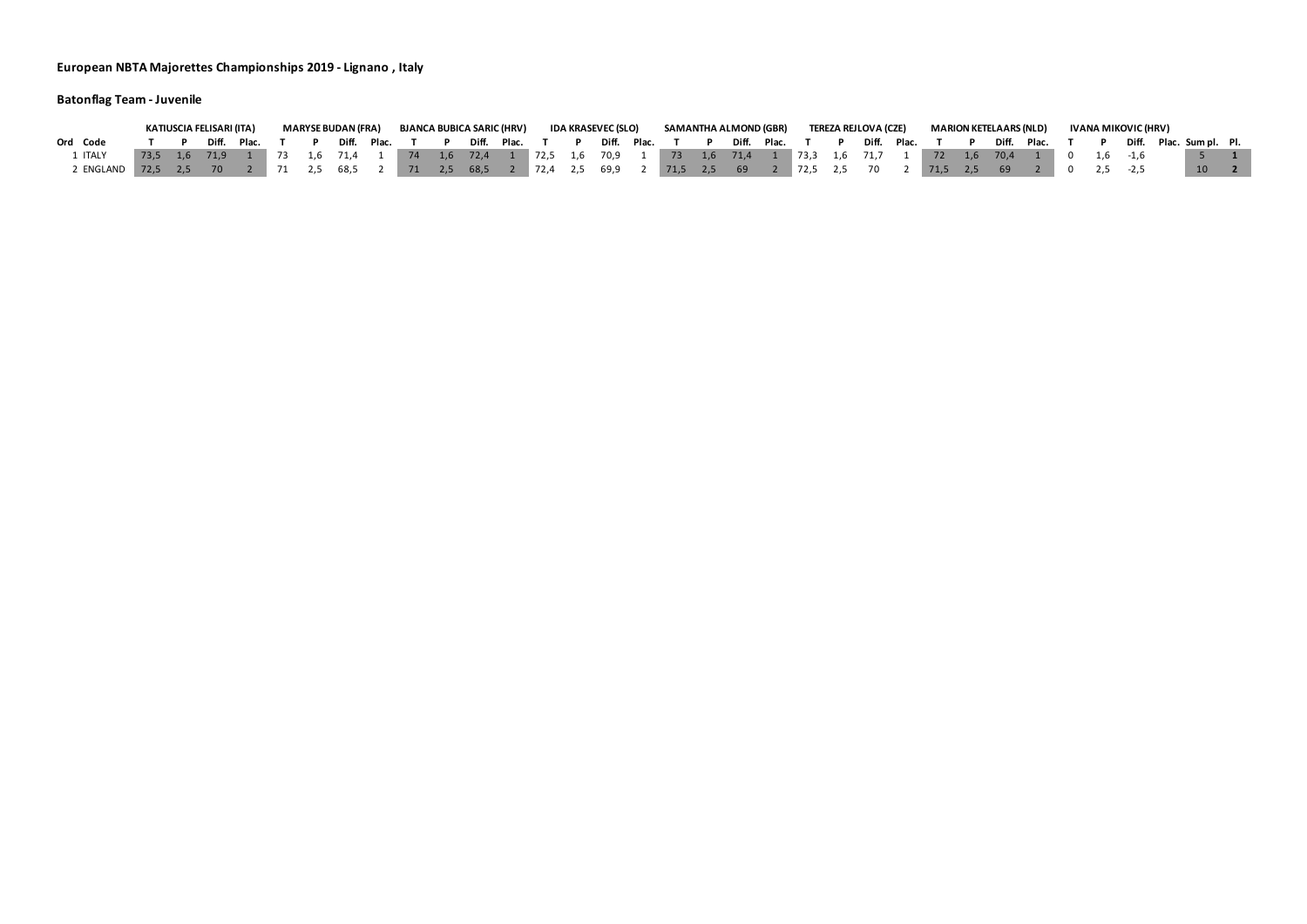# **Batonflag Team - Juvenile**

|           |          | KATIUSCIA FELISARI (ITA) |       |  | MARYSE BUDAN (FRA) |             |    | <b>BJANCA BUBICA SARIC (HRV)</b> |               |  | IDA KRASEVEC (SLO) |                 | SAMANTHA ALMOND (GBR)                       |                 | <b>TEREZA REJLOVA (CZE)</b> |                                                                                             | <b>MARION KETELAARS (NLD)</b> |                 |  | IVANA MIKOVIC (HRV) |                         |  |
|-----------|----------|--------------------------|-------|--|--------------------|-------------|----|----------------------------------|---------------|--|--------------------|-----------------|---------------------------------------------|-----------------|-----------------------------|---------------------------------------------------------------------------------------------|-------------------------------|-----------------|--|---------------------|-------------------------|--|
| Ord Code  |          | Diff.                    | Plac. |  |                    | Diff. Plac. |    |                                  | Diff. Plac. T |  |                    | Diff. Plac. T P |                                             | Diff. Plac. T P |                             | Diff. Plac. T P                                                                             |                               | Diff. Plac. T P |  |                     | Diff. Plac. Sum pl. Pl. |  |
|           |          |                          |       |  |                    |             |    |                                  |               |  |                    |                 |                                             |                 |                             | 1 73 1,6 71,4 1 74 1,6 72,4 1 72,5 1,6 70,9 1 73 1,6 71,4 1 73,3 1,6 71,7 1 72 1,6 70,4 1 0 |                               |                 |  | $1.6$ $-1.6$        |                         |  |
| ' ENGLAND | 72.5 2.5 | 70                       |       |  | 2,5 68,5           |             | 71 | 2,5 68,5 2 72,4 2,5              |               |  |                    |                 | $5\quad 69.9$ 2 71,5 2,5 69 2 72,5 2,5 70 2 |                 |                             | 71,5 2,5                                                                                    | 69                            |                 |  |                     | 10 <sup>1</sup>         |  |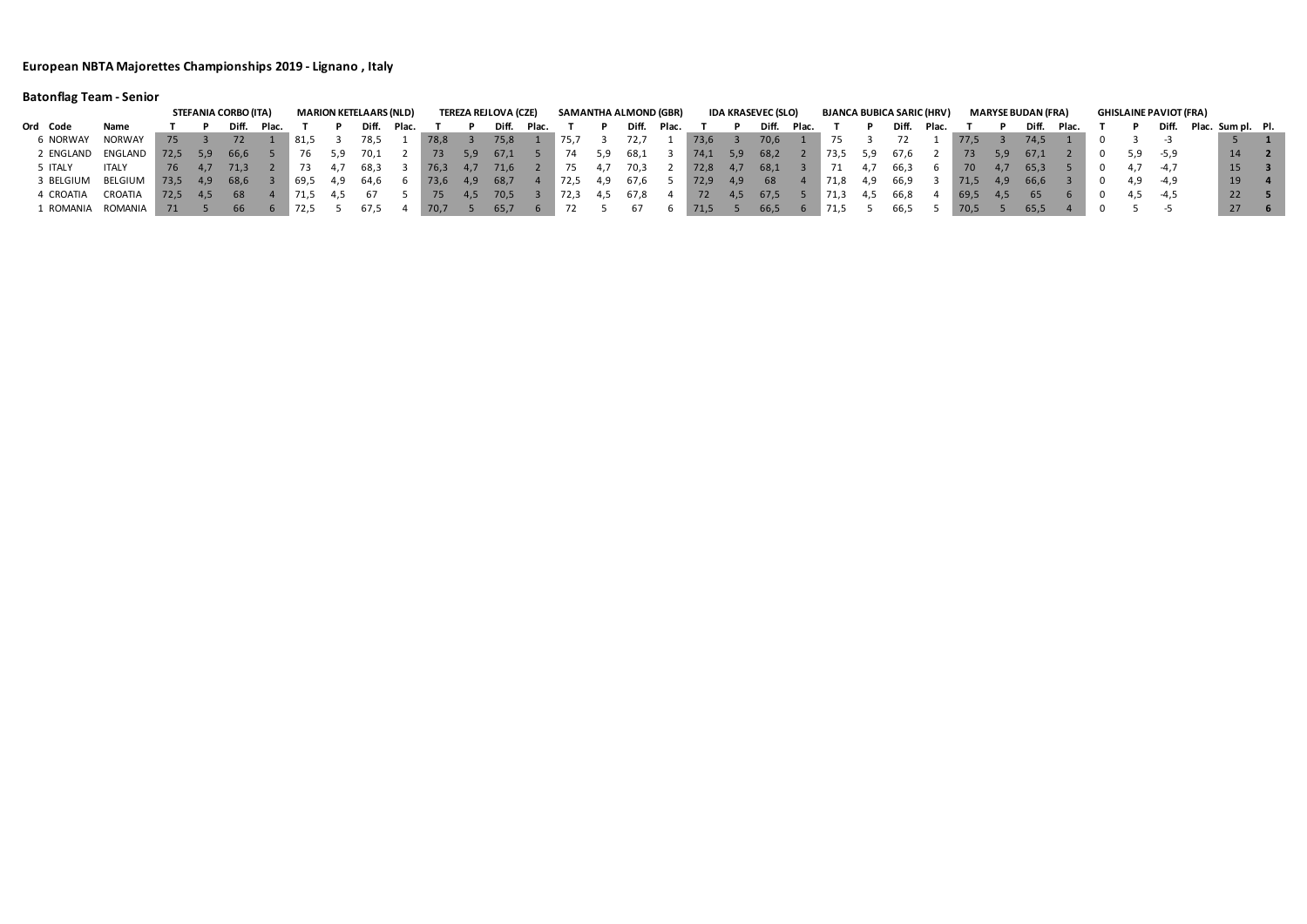# **Batonflag Team - Senior**

|           |               |      |     | <b>STEFANIA CORBO (ITA)</b> |       |                 |      | <b>MARION KETELAARS (NLD)</b> |       |      |     | <b>TEREZA REJLOVA (CZE)</b> |       |      |     | SAMANTHA ALMOND (GBR) |       |      |     | <b>IDA KRASEVEC (SLO)</b> |       |      |     | <b>BJANCA BUBICA SARIC (HRV)</b> |       |        |     | <b>MARYSE BUDAN (FRA)</b> |       |          | <b>GHISLAINE PAVIOT (FRA)</b> |                   |  |
|-----------|---------------|------|-----|-----------------------------|-------|-----------------|------|-------------------------------|-------|------|-----|-----------------------------|-------|------|-----|-----------------------|-------|------|-----|---------------------------|-------|------|-----|----------------------------------|-------|--------|-----|---------------------------|-------|----------|-------------------------------|-------------------|--|
| Ord Code  | Name          |      |     | Dift.                       | Plac. |                 |      | Diff.                         | Plac. |      |     | Diff.                       | Plac. |      |     | Diff.                 | Plac. |      |     | <b>Diff</b>               | Plac. |      |     | Diff.                            | Plac. |        |     | Diff.                     | Plac. |          | Diff.                         | Plac. Sum pl. Pl. |  |
| 6 NORWAY  | <b>NORWAY</b> |      |     |                             |       | ็ 81,5          |      | 78,5                          |       | 78,8 |     | 75,8                        |       | 75,7 |     | 72,7                  |       | 73,6 |     | 70,6                      |       |      |     |                                  |       | 77.5   |     | 74,5                      |       |          |                               |                   |  |
| 2 ENGLAND | ENGLAND       | 72,5 |     | 66,6                        |       |                 |      | - 70.1                        |       | 73   |     | 67,1                        |       | 74   |     | 68,1                  |       | 74,1 | 5,9 | 68,2                      |       | 73,5 |     | 67,6                             |       | 73.    | 5.9 | 67.1                      |       | 5,9      | -5,9                          | 14                |  |
| ITALY     | ITALY         | 76   | 4.7 | 71,3                        |       |                 |      | 68,3                          |       | 76,3 | 4,7 | 71,6                        |       | 75   | 4.1 | 70,3                  |       | 72,8 | 4.1 | 68,1                      |       |      | 4.1 | 66,3                             |       | 70 -   | 4.7 | 65,3                      |       |          | -4.7                          | 15                |  |
| 3 BELGIUM | BELGIUM       | 73,5 |     | 68,6                        |       | $^{\circ}$ 69,5 | -4.9 | 64,6                          |       | 73,6 | 4,9 | 68,7                        |       | 72,5 | 4,9 | 67,6                  |       | 72,9 | 4,9 | 68                        |       | 71,8 | 4.9 | 66,9                             |       | 71,5   | 4,9 | 66,6                      |       | 4,9      | -4,9                          | 19                |  |
| 4 CROATIA | CROATIA       | 72.5 |     | -68                         |       | " 71,5          |      |                               |       |      |     | 70,5                        |       | 72,3 |     | 67,8                  |       | 72   |     | 67,5                      |       | 71,3 | 4.5 | 66,8                             |       | - 69,5 | 4.5 | 65                        |       | 4,5 -4,5 |                               | 22                |  |
| L ROMANIA | ROMANIA       |      |     |                             |       | 72,5            |      | 67.5                          |       | 70,7 |     | 65,7                        |       |      |     |                       |       | 71,5 |     | 66,5                      |       |      |     | 66,5                             |       | 70,5   |     | 65,5                      |       |          |                               | 27                |  |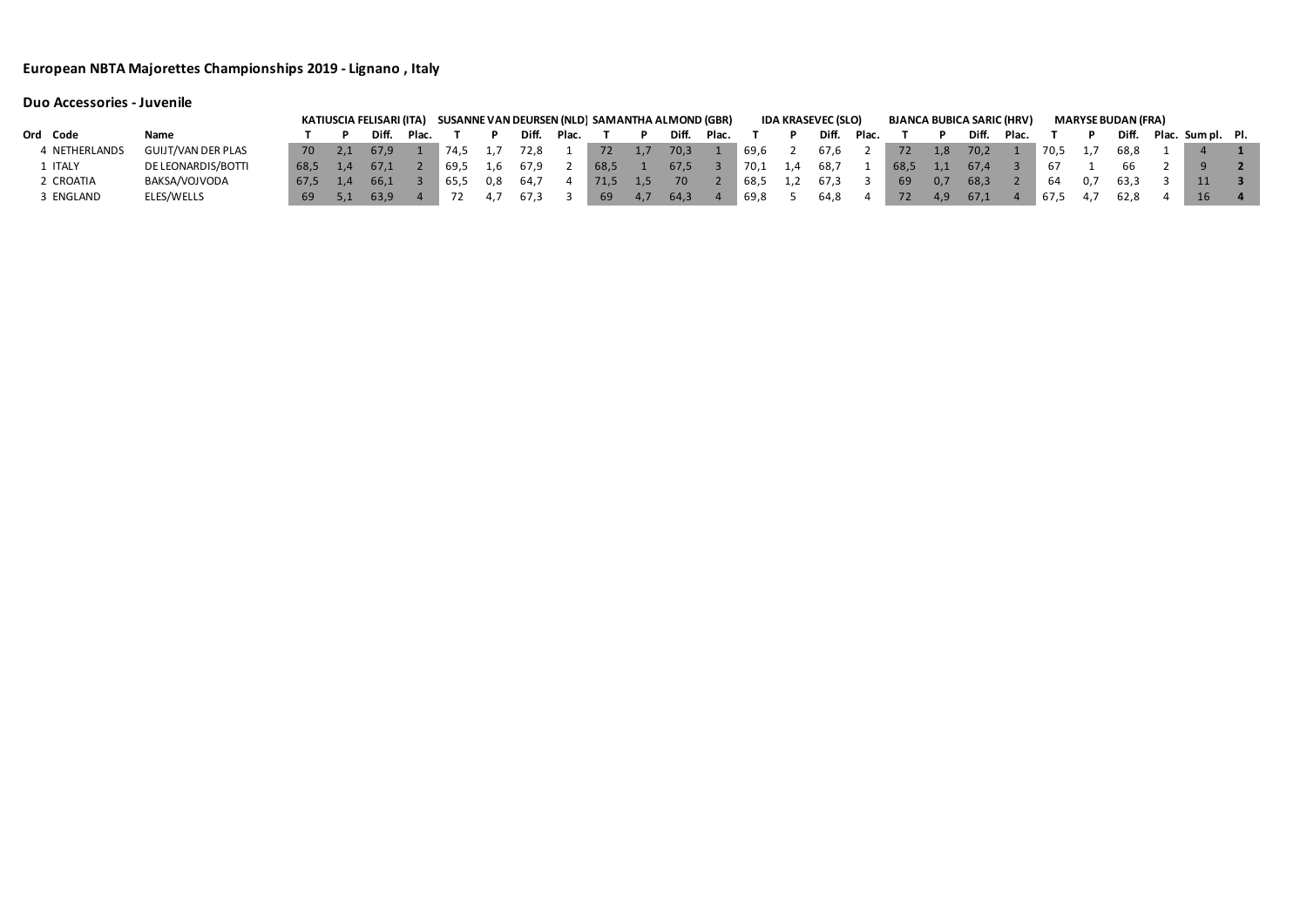|                |                           |      | KATIUSCIA FELISARI (ITA) SUSANNE VAN DEURSEN (NLD) SAMANTHA ALMOND (GBR) |       |      |     |       |       |      |       |       |      | <b>IDA KRASEVEC (SLO)</b> |       |      |     | <b>BJANCA BUBICA SARIC (HRV)</b> |       |      | <b>MARYSE BUDAN (FRA)</b> |                   |  |
|----------------|---------------------------|------|--------------------------------------------------------------------------|-------|------|-----|-------|-------|------|-------|-------|------|---------------------------|-------|------|-----|----------------------------------|-------|------|---------------------------|-------------------|--|
| Ord Code       | Name                      |      | Diff.                                                                    | Plac. |      |     | Diff. | Plac. |      | Diff. | Plac. |      | Diff.                     | Plac. |      |     | Diff.                            | Plac. |      | Diff.                     | Plac. Sum pl. Pl. |  |
| 4 NETHERLANDS  | <b>GUIJT/VAN DER PLAS</b> | 70   | 67.9                                                                     |       | 74,5 |     | 72.8  |       | 72   | 70,3  |       | 69,6 | 67,6                      |       | 72   | 1,8 | 70,2                             |       | 70,5 | 68.8                      |                   |  |
| L ITALY        | DE LEONARDIS/BOTTI        | 68.5 | 67.1                                                                     |       | 69.5 | 1.6 |       |       | 68,5 | 67,5  |       | 70,1 | 68,7                      |       | 68,5 |     | 67.4                             |       |      |                           |                   |  |
| <b>CROATIA</b> | BAKSA/VOJVODA             | 67.5 | 66.1                                                                     |       | 65.5 | 0.8 | 64.7  |       | 71,5 | 70    |       | 68,5 | 67,3                      |       | -69  | 0,7 | 68.3                             |       | 64   | 63.3                      | 11                |  |
| B ENGLAND      | ELES/WELLS                | 69   | 63,9                                                                     |       |      |     | 67,3  |       | 69   | 64,3  |       | 69,8 | 64,8                      |       | 72   | 4.9 | 67,1                             |       | 67,5 | 62,8                      | 16                |  |

# **Duo Accessories - Juvenile**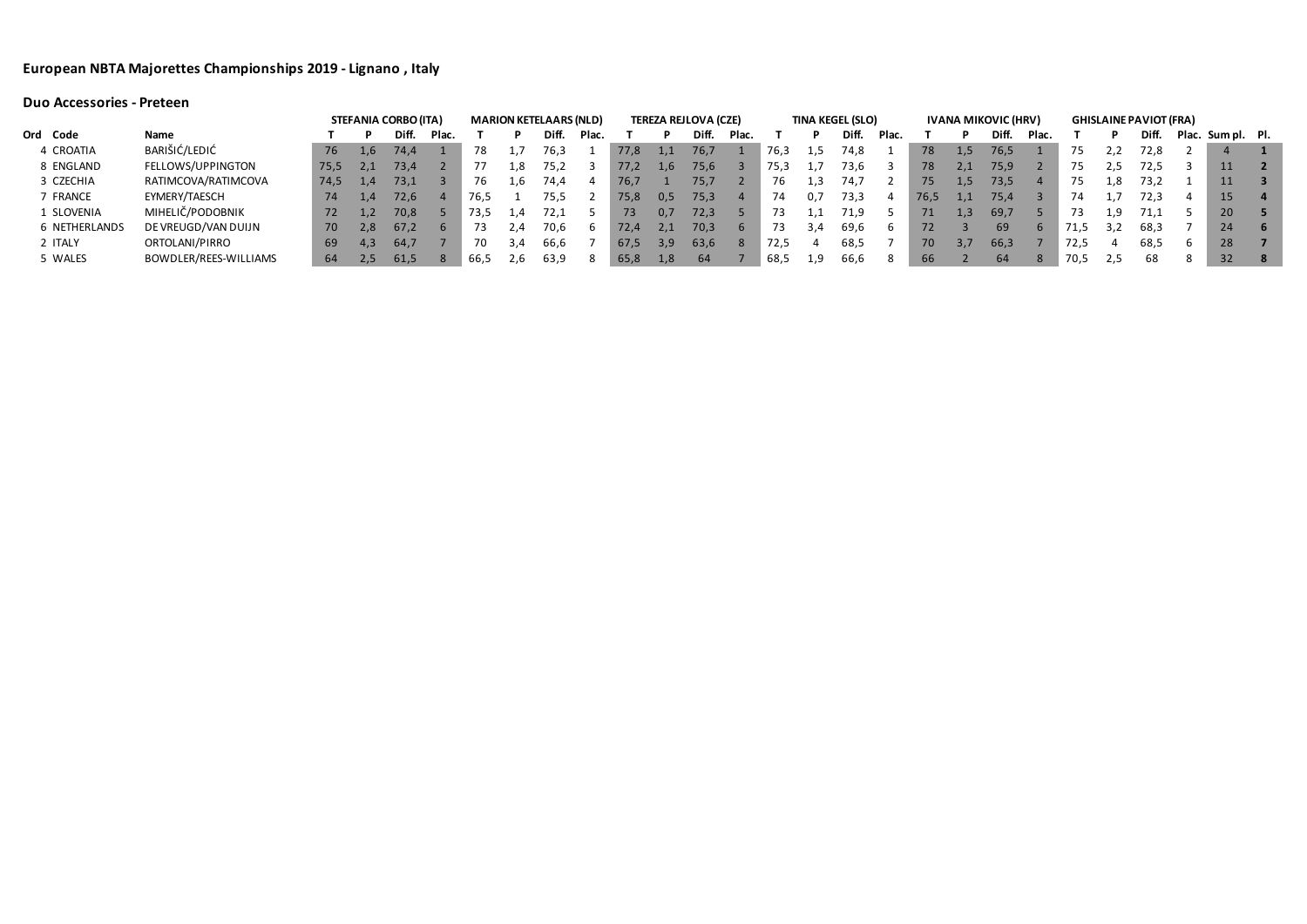## **Duo Accessories - Preteen**

|                      |                       |      |     | <b>STEFANIA CORBO (ITA)</b> |       |      |     | <b>MARION KETELAARS (NLD)</b> |       |      |     | <b>TEREZA REJLOVA (CZE)</b> |             |      |      | <b>TINA KEGEL (SLO)</b> |       |      |         | <b>IVANA MIKOVIC (HRV)</b> |       |      |     | <b>GHISLAINE PAVIOT (FRA)</b> |              |                   |  |
|----------------------|-----------------------|------|-----|-----------------------------|-------|------|-----|-------------------------------|-------|------|-----|-----------------------------|-------------|------|------|-------------------------|-------|------|---------|----------------------------|-------|------|-----|-------------------------------|--------------|-------------------|--|
| Ord Code             | Name                  |      |     | Diff.                       | Plac. |      |     | Diff.                         | Plac. |      |     | Diff.                       | Plac.       |      |      | Diff.                   | Plac. |      |         | Diff.                      | Plac. |      |     | Diff.                         |              | Plac. Sum pl. Pl. |  |
| 4 CROATIA            | BARIŠIĆ/LEDIĆ         | 76   | 1,6 | 74,4                        |       | 78   |     | 76,3                          |       | 77.8 | 1,1 | 76,7                        |             | 76,3 | 1,5  | 74.8                    |       | 78   | 1,5     | 76,5                       |       |      |     | 72,8                          |              |                   |  |
| 8 ENGLAND            | FELLOWS/UPPINGTON     | 75,5 |     | 73,4                        |       |      | ⊥.8 | 75,2                          |       | 77.2 | 1,6 | 75,6                        |             | 75,3 | 1, / | 73,6                    |       | 78   | 2,1     | 75,9                       |       | 75   | 2,5 | 72,5                          |              | 11                |  |
| 3 CZECHIA            | RATIMCOVA/RATIMCOVA   | 74,5 |     | 73,1                        |       | 76   | ⊥,b | 74,4                          |       | 76,7 |     | 75,7                        |             | 76   | 1,3  | 74,7                    |       | 75   | 1,5     | 73,5                       |       | 75   | ⊥.8 | 73,2                          |              | 11                |  |
| 7 FRANCE             | EYMERY/TAESCH         | 74   |     | 72,6                        |       | 76.5 |     | 75,5                          |       | 75,8 | 0,5 | 75,3                        |             | 74   | 0.7  | 73,3                    |       | 76,5 | $1.1\,$ | 75,4                       |       | 74   |     | 72,3                          | 4            | 15                |  |
| 1 SLOVENIA           | MIHELIČ/PODOBNIK      | 72   |     | 70,8                        |       | 73.5 | 1,4 | 72,1                          |       | 73   | 0,7 | 72,3                        |             |      | 1,1  | 71,9                    |       | 71   | 1.3.    | 69,7                       |       |      | 1,9 | 71,1                          |              | 20                |  |
| <b>6 NETHERLANDS</b> | DE VREUGD/VAN DUIJN   | 70   | 2,8 | 67,2                        |       | 73   | 2.4 | 70,6                          | D     | 72,4 | 2,1 | 70,3                        | $\mathbf b$ | 73   | 3.4  | 69,6                    | b     | 72   |         | 69                         |       | 71,5 | 3,2 | 68,3                          |              | 24                |  |
| 2 ITALY              | ORTOLANI/PIRRO        | 69   | 4,3 | 64,7                        |       | 70   | 3.4 | 66,6                          |       | 67.5 | 3,9 | 63,6                        | -8          | 72,5 |      | 68,5                    |       | 70   |         | 66,3                       |       | 72,5 |     | 68,5                          | $\mathsf{b}$ | 28                |  |
| 5 WALES              | BOWDLER/REES-WILLIAMS | 64   |     | 61,5                        |       | 66.5 | Z,b | 63,9                          | 8     | 65,8 | 1,8 | 64                          |             | 68,5 | 1,9  | 66,6                    | 8     | 66   |         | 64                         | 8     | 70,5 | 5,2 | 68                            | 8            | 32                |  |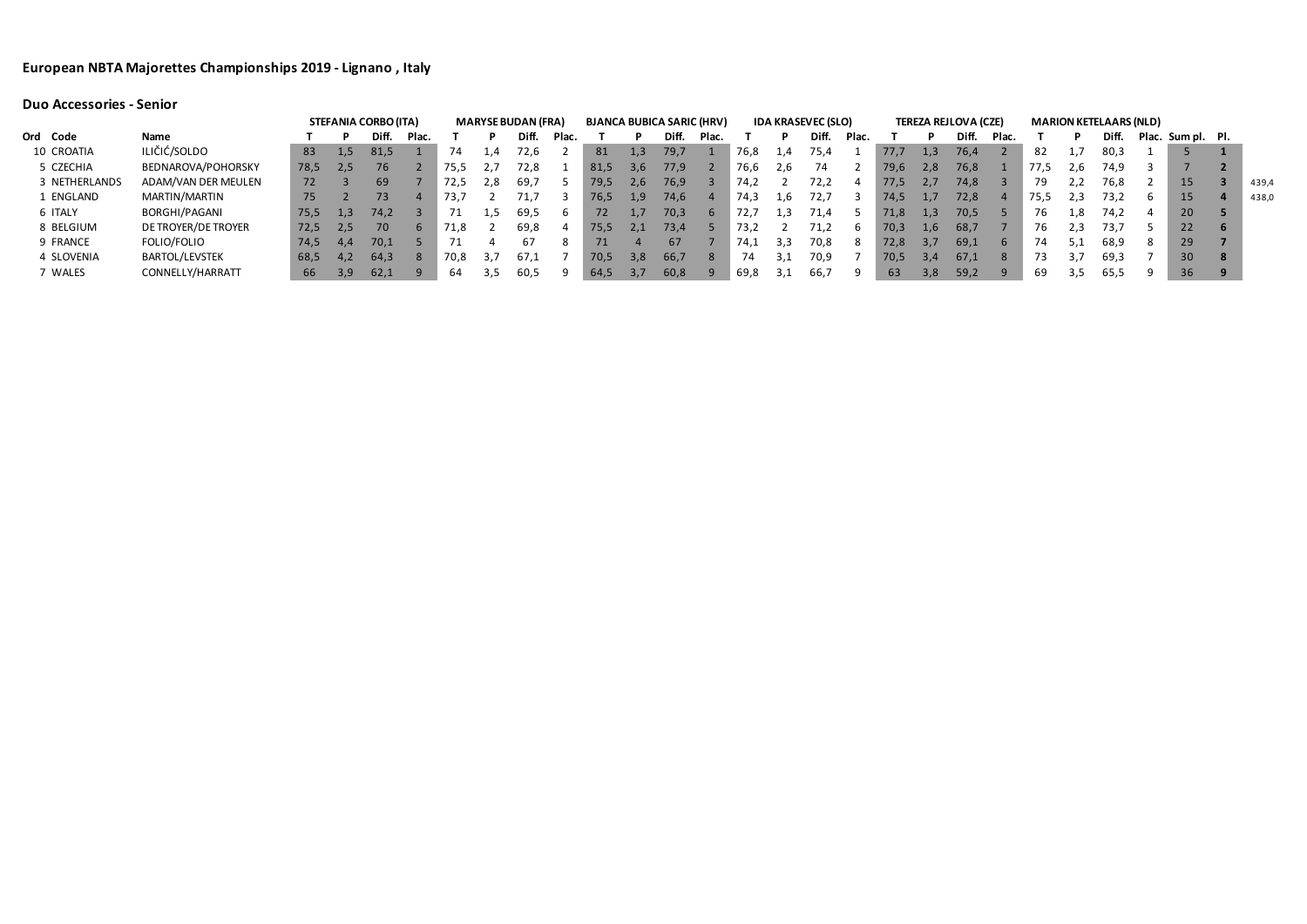|               |                       |      |     | <b>STEFANIA CORBO (ITA)</b> |       |      |                  | <b>MARYSE BUDAN (FRA)</b> |       |      |     | <b>BJANCA BUBICA SARIC (HRV)</b> |             |      |     | <b>IDA KRASEVEC (SLO)</b> |       |      |     | <b>TEREZA REJLOVA (CZE)</b> |       |      |         | <b>MARION KETELAARS (NLD)</b> |                   |       |
|---------------|-----------------------|------|-----|-----------------------------|-------|------|------------------|---------------------------|-------|------|-----|----------------------------------|-------------|------|-----|---------------------------|-------|------|-----|-----------------------------|-------|------|---------|-------------------------------|-------------------|-------|
| Ord Code      | Name                  |      |     | Diff.                       | Plac. |      |                  | Diff.                     | Plac. |      |     | Diff.                            | Plac.       |      |     | Diff.                     | Plac. |      |     | Diff.                       | Plac. |      |         | Diff.                         | Plac. Sum pl. Pl. |       |
| 10 CROATIA    | ILIČIĆ/SOLDO          | 83   | 1.5 | 81,5                        |       | 74   | $\overline{1,4}$ | 72,6                      |       | 81   | 1,3 | 79,7                             |             | 76,8 | 1,4 | 75,4                      |       | 77.7 | 1,3 | 76,4                        |       | 82   | 1,7     | 80,3                          |                   |       |
| 5 CZECHIA     | BEDNAROVA/POHORSKY    | 78,5 | 2,5 | 76                          |       | 75,5 |                  | 72,8                      |       | 81,5 | 3,6 | 77,9                             |             | 76,6 | 2,6 | 74                        |       | 79,6 | 2,8 | 76,8                        |       | 77,5 | 2.6     | 74,9                          |                   |       |
| 3 NETHERLANDS | ADAM/VAN DER MEULEN   | 72.  |     | 69                          |       | 72,5 | 2,8              | 69,7                      |       | 79,5 | 2,6 | 76,9                             |             | 74.2 |     | 72,2                      |       | 77.5 | 2,1 | 74,8                        |       |      | 2,2     | 76,8                          | 15                | 439,4 |
| 1 ENGLAND     | MARTIN/MARTIN         | 757  |     | 73 <sub>1</sub>             |       | 73,7 |                  |                           |       | 76.5 | 1,9 | 74.6                             |             | 74.3 | 1.6 | 72,7                      |       | 74.5 |     | 72,8                        |       | 75,5 | 2,3     | 73,2                          | 15                | 438,0 |
| 6 ITALY       | BORGHI/PAGANI         | 75,5 | 1,3 | 74,2                        |       |      | د.1              | 69,5                      | b     | 72.  |     | 70,3                             | $\mathbf b$ | 12,1 | 1.3 | 71,4                      |       | 71,8 | 1,3 | 70,5                        |       | 76   | ⊥,8     | 74.2                          | 20                |       |
| 8 BELGIUM     | DE TROYER/DE TROYER   | 72.5 | 2.5 |                             |       | 71.8 |                  | 69.8                      |       | 75.5 | 2.1 | 73,4                             |             | 73.2 |     |                           |       | 70,3 | 1.6 | 68,7                        |       | 76   | $2.3 -$ | 73.7                          | 22                |       |
| 9 FRANCE      | FOLIO/FOLIO           | 74.5 | 4.4 | 70,1                        |       |      |                  | 67                        |       |      |     | 67                               |             | 74.1 | 3,3 | 70,8                      |       | 72,8 |     | 69,1                        |       | 74   | 5,1     | 68,9                          | 29                |       |
| 4 SLOVENIA    | <b>BARTOL/LEVSTEK</b> | 68,5 | 4,2 | 64,3                        | -8    | 70,8 | 3.7              | 67,1                      |       | 70,5 | 3,8 | 66,7                             | 8           | 74   | 3.1 | 70,9                      |       | 70,5 | 3,4 | 67,1                        |       |      | 3.7     | 69,3                          | 30                |       |
| 7 WALES       | CONNELLY/HARRATT      | 66   | 3,9 | 62,1                        |       | 64   | 3,5              | 60,5                      |       | 64,5 | 3,7 | 60,8                             | q           | 69,8 | 3,1 | 66,7                      |       | 63   | 3,8 | 59,2                        |       | 69   | 3,5     | 65,5                          | 36                |       |

# **Duo Accessories - Senior**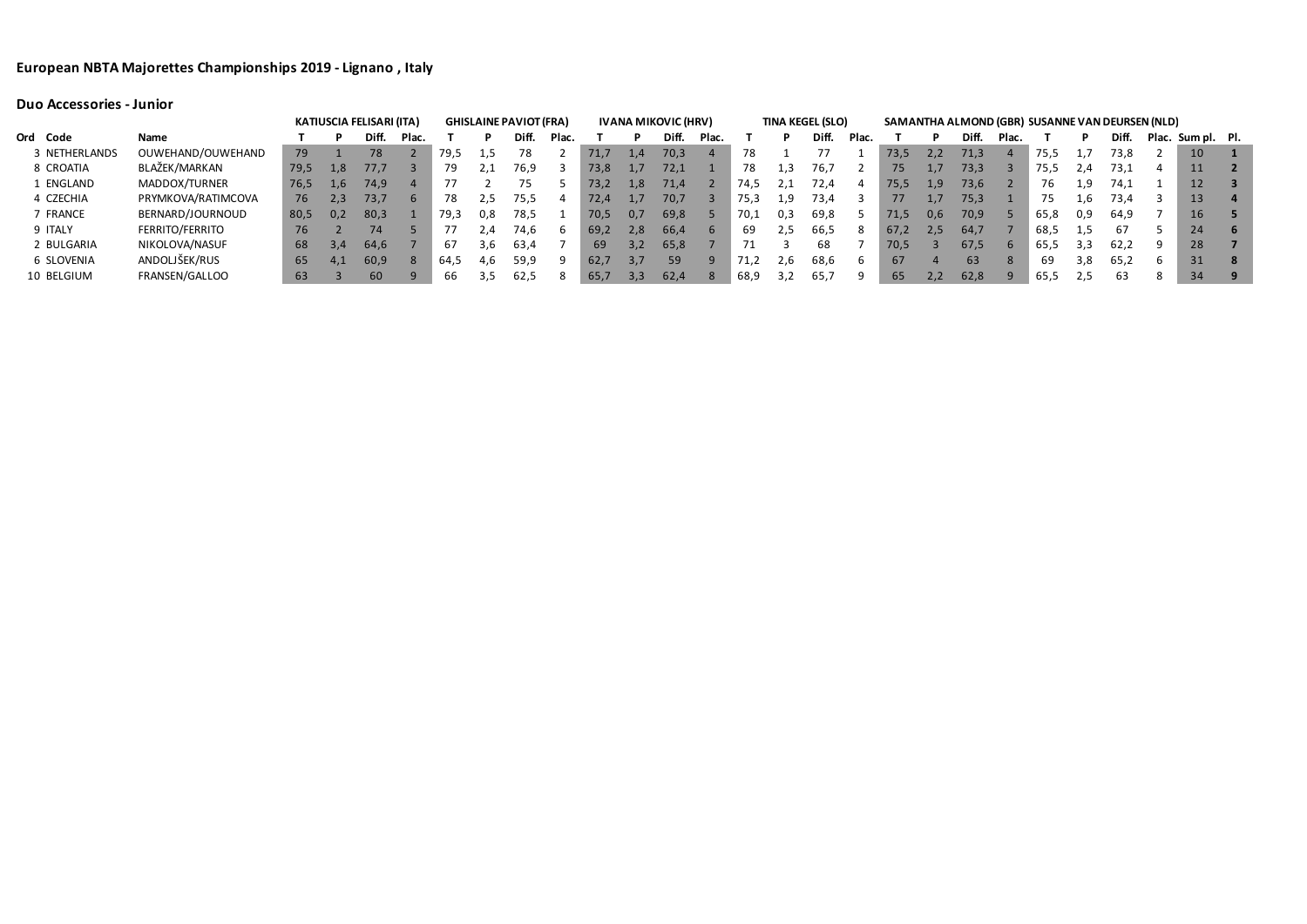|               |                    |      |     | <b>KATIUSCIA FELISARI (ITA)</b> |             |      |             | <b>GHISLAINE PAVIOT (FRA)</b> |       |      |     | <b>IVANA MIKOVIC (HRV)</b> |       |      |     | <b>TINA KEGEL (SLO)</b> |              |      |     | SAMANTHA ALMOND (GBR) SUSANNE VAN DEURSEN (NLD) |              |      |      |       |                   |      |
|---------------|--------------------|------|-----|---------------------------------|-------------|------|-------------|-------------------------------|-------|------|-----|----------------------------|-------|------|-----|-------------------------|--------------|------|-----|-------------------------------------------------|--------------|------|------|-------|-------------------|------|
| Ord Code      | Name               |      |     | Diff                            | Plac.       |      |             | Diff.                         | Plac. |      |     | Diff.                      | Plac. |      |     | Diff.                   | Plac.        |      |     | Diff.                                           | Plac.        |      |      | Diff. | Plac. Sum pl. Pl. |      |
| 3 NETHERLANDS | OUWEHAND/OUWEHAND  | 79   |     | 78                              |             | 79,5 | 1,5         | 78                            |       | 71,7 | 1,4 | 70,3                       |       | 78   |     |                         |              | 73,5 | 2,2 | 71,3                                            |              | 75,5 |      | 73,8  | 10                |      |
| 8 CROATIA     | BLAŽEK/MARKAN      | 79,5 | 1,8 | 77,7                            |             | 79   |             | 76,9                          |       | 73,8 |     | 72,1                       |       | 78   |     | 76,7                    |              | 75   |     | 73,3                                            |              | 75,5 | 2,4  | 73,1  | 11                |      |
| 1 ENGLAND     | MADDOX/TURNER      | 76,5 | 1,6 | 74,9                            |             | 77   |             | 75.                           |       | 73,2 | 1,8 | 71,4                       |       | 74.5 |     | 72,4                    | 4            | 75,5 | 1.9 | 73,6                                            |              | 76   | 1.9  | 74,1  | 12                |      |
| 4 CZECHIA     | PRYMKOVA/RATIMCOVA | 76   | 2,3 | 73,7                            | $\mathbf b$ | 78   | 2,5         | 75,5                          |       | 72,4 |     | 70,7                       |       | 75,3 |     | 73,4                    |              | 77   |     | 75,3                                            |              | 75   |      | 73,4  | 13                |      |
| 7 FRANCE      | BERNARD/JOURNOUD   | 80.5 | 0,2 | 80,3                            |             | 79,3 | 0.8         | 78,5                          |       | 70,5 | 0,7 | 69,8                       |       | 70,1 | 0,3 | 69,8                    |              | 71,5 | 0,6 | 70,9                                            |              | 65.8 | 0,9  | 64,9  | 16                |      |
| 9 ITALY       | FERRITO/FERRITO    | 76   |     | 74                              |             |      | $\angle 74$ | 74.6                          |       | 69,2 | 2,8 | 66,4                       |       | 69   | 2,5 | 66,5                    | 8            | 67.2 | 2,5 | 64,7                                            |              | 68,5 | -1,5 | 67    | 24                | $-6$ |
| 2 BULGARIA    | NIKOLOVA/NASUF     | 68   | 3.4 | 64,6                            |             | 67   | 3.6         | 63,4                          |       | 69   | 3,2 | 65,8                       |       |      |     | 68                      |              | 70,5 |     | 67,5                                            | $\mathbf{b}$ | 65.5 | 3,3  | 62,2  | 28                |      |
| 6 SLOVENIA    | ANDOLJŠEK/RUS      | 65   | 4,1 | 60,9                            |             | 64.5 | 4.6         | 59,9                          |       | 62,7 | 3.7 | 59                         |       |      |     | 68.6                    | <sub>b</sub> | 67   |     | 63                                              |              | 69   | 3.8  | 65.2  | 31                |      |
| 10 BELGIUM    | FRANSEN/GALLOO     | 63   |     | 60                              | q           | 66   |             | 62,5                          |       | 65,7 | 3,3 | 62,4                       |       | 68,9 | 3,2 | 65,7                    |              | 65   | 2,2 | 62,8                                            |              | 65,5 |      | 63    | 34                |      |

**Duo Accessories - Junior**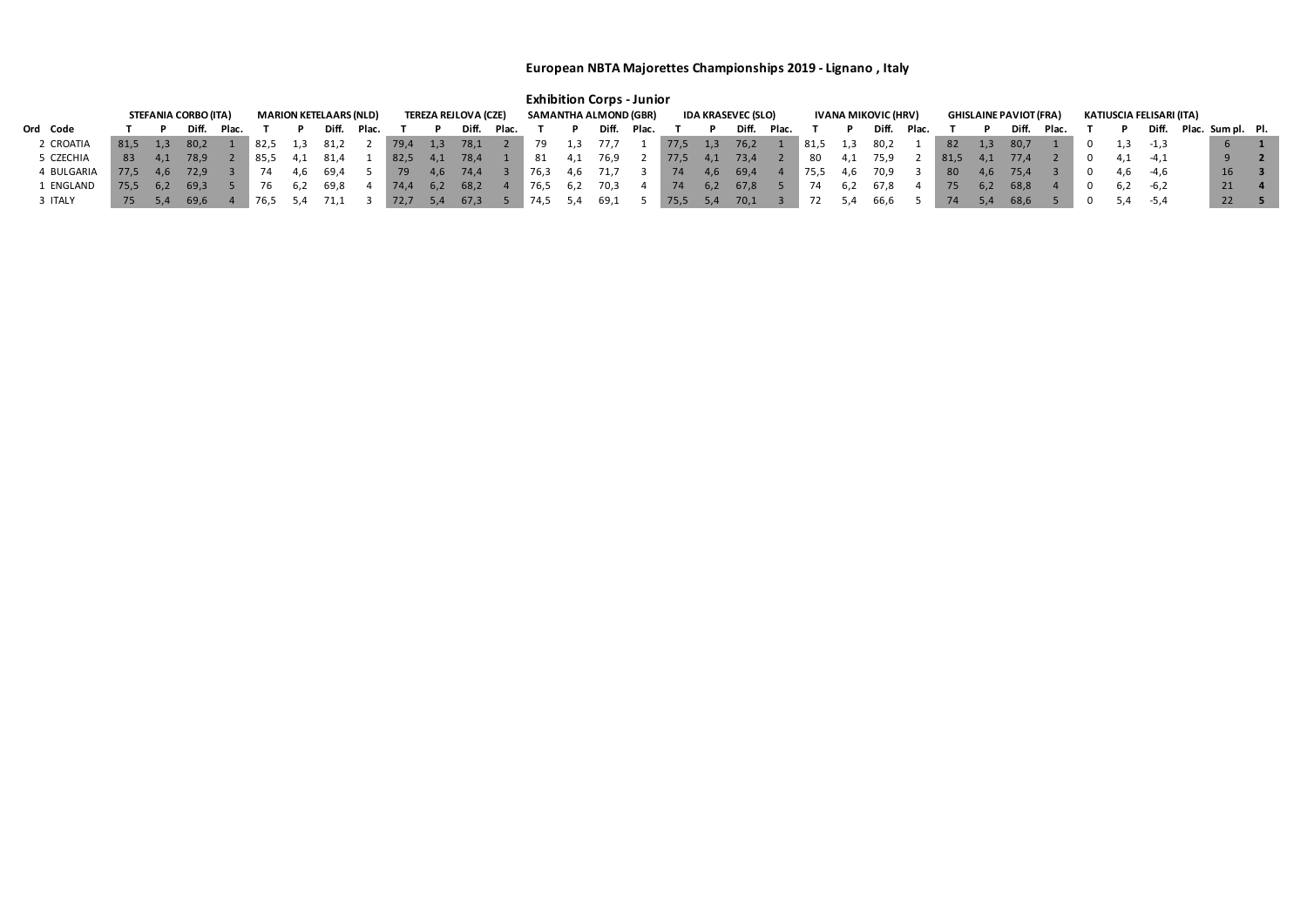|            |      |      |                             |       |                 |     |                               |       |       |     |                             |       |      |     | <b>Exhibition Corps - Junior</b> |       |      |     |                           |       |      |     |                     |       |      |     |                               |       |     |                          |                         |  |
|------------|------|------|-----------------------------|-------|-----------------|-----|-------------------------------|-------|-------|-----|-----------------------------|-------|------|-----|----------------------------------|-------|------|-----|---------------------------|-------|------|-----|---------------------|-------|------|-----|-------------------------------|-------|-----|--------------------------|-------------------------|--|
|            |      |      | <b>STEFANIA CORBO (ITA)</b> |       |                 |     | <b>MARION KETELAARS (NLD)</b> |       |       |     | <b>TEREZA REJLOVA (CZE)</b> |       |      |     | <b>SAMANTHA ALMOND (GBR)</b>     |       |      |     | <b>IDA KRASEVEC (SLO)</b> |       |      |     | IVANA MIKOVIC (HRV) |       |      |     | <b>GHISLAINE PAVIOT (FRA)</b> |       |     | KATIUSCIA FELISARI (ITA) |                         |  |
| Ord Code   |      |      | Diff.                       | Plac. |                 |     | <b>Diff</b>                   | Plac. |       |     | Diff.                       | Plac. |      |     | Diff.                            | Plac. |      |     | Diff.                     | Plac. |      |     | Diff.               | Plac. |      |     | Diff.                         | Plac. |     |                          | Diff. Plac. Sum pl. Pl. |  |
| 2 CROATIA  | 81,5 |      | 80,2                        |       | $^{\circ}$ 82,5 |     | ے,81                          |       | 79,4  | 1,3 | 78,1                        |       |      | 5.1 |                                  |       | 77,5 | 1,3 | 76,2                      |       | 81,5 | 1,3 | 80,2                |       | 82   | 1,3 | -80,7                         |       |     | $-1,3$                   |                         |  |
| CZECHIA    | 83   | 4.1  | 78,9                        |       | ® 85,5          | 4,⊥ | 81,4                          |       | -82,5 | 4,1 | 78,4                        |       | 81   | 4,1 | 76,9                             |       | 77,5 | 4,1 | 73,4                      |       | -80  |     | 75,9                |       | 81,5 |     | 77,4                          |       | 4,1 | $-4,1$                   | $\mathbf{q}$            |  |
| 4 BULGARIA | 77.5 | 4.6  | 72.9                        |       | 74              | 4.O | 69,4                          |       | 79    | 4.6 | 74,4                        |       | 76,3 | 4,6 | 71,7                             |       | 74   | 4,6 | -69,4                     |       | 75,5 |     | 70,9                |       | 80   | 4.6 | 75,4                          |       |     | 4,6 -4,6                 | 16                      |  |
| 1 ENGLAND  | 75,5 | -6,2 | -69,3                       |       |                 | 6,2 | 69,8                          |       | 74,4  | 6,2 | 68,2                        |       | 76,5 | 6,2 | 70,3                             |       | 74   | 6,2 | 67,8                      |       | 74   |     | 67,8                |       | 75   | 6,2 | 68,8                          |       | 6,2 | $-6,2$                   | 21                      |  |
| 3 ITALY    | 75   |      | 69,6                        |       | 76,5            |     |                               |       |       | 5.4 | 67,3                        |       | 74,5 | 5.4 | 69,1                             |       | 75,5 | 5,4 | 70,1                      |       |      | 5,4 | 66,6                |       | 74   |     | 68,6                          |       | 5,4 | -5,4                     | 22                      |  |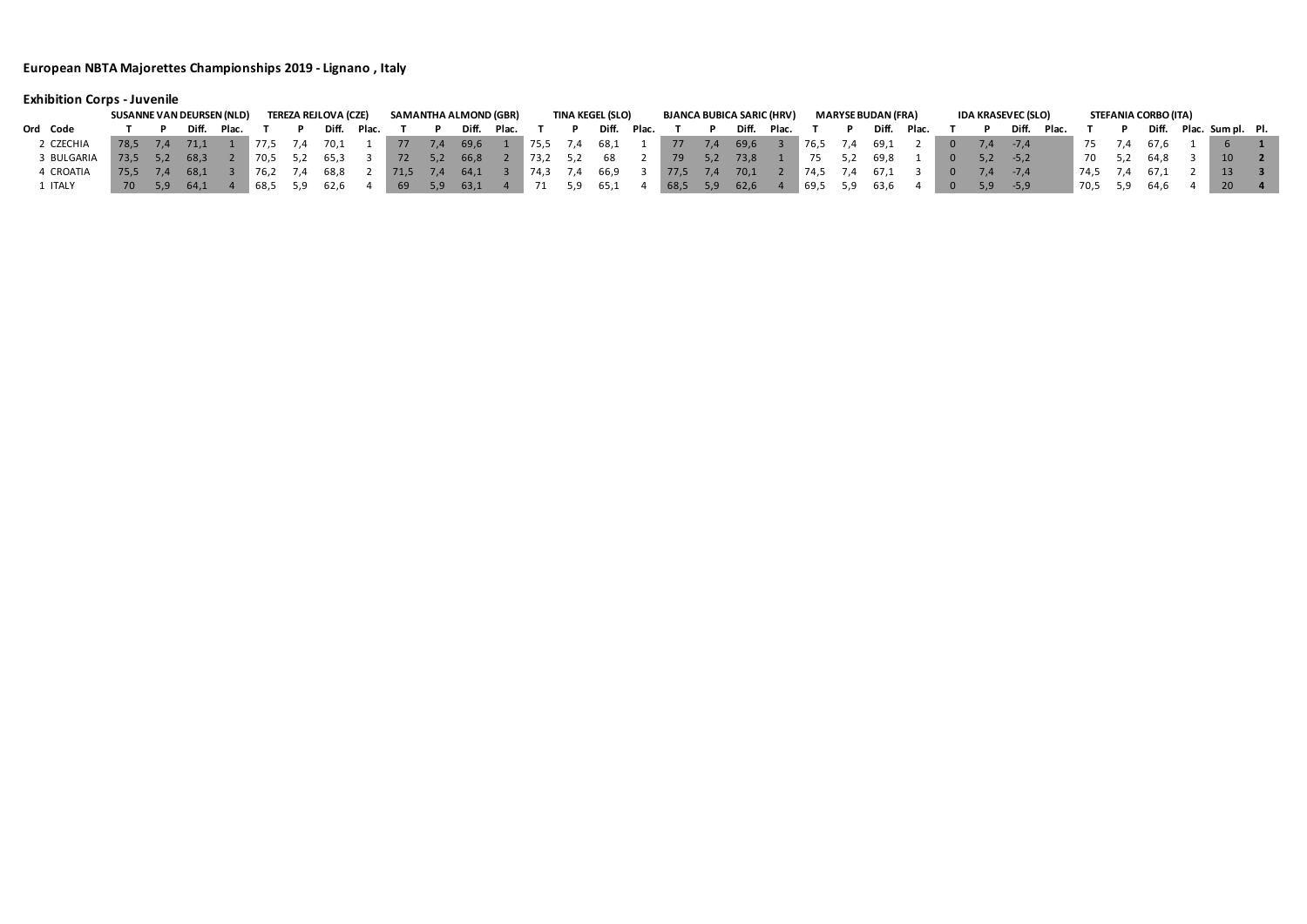# **Exhibition Corps - Juvenile**

|            | SUSANNE VAN DEURSEN (NLD) |     |       |       |      | <b>TEREZA REJLOVA (CZE)</b> |       |     |     | SAMANTHA ALMOND (GBR) |       |      |     | <b>TINA KEGEL (SLO)</b> |       | <b>BJANCA BUBICA SARIC (HRV)</b> |     |       |       |        |               | <b>MARYSE BUDAN (FRA)</b> |       |     | <b>IDA KRASEVEC (SLO)</b> |       |      | STEFANIA CORBO (ITA) |      |                 |  |
|------------|---------------------------|-----|-------|-------|------|-----------------------------|-------|-----|-----|-----------------------|-------|------|-----|-------------------------|-------|----------------------------------|-----|-------|-------|--------|---------------|---------------------------|-------|-----|---------------------------|-------|------|----------------------|------|-----------------|--|
| Ord Code   |                           |     | Diff. | Plac. |      | Diff.                       | Plac. |     |     | Diff.                 | Plac. |      |     | Diff.                   | Plac. |                                  |     | Diff. | Plac. |        |               | Diff.                     | Plac. |     | Diff.                     | Plac. |      | Diff.                | Plac | Sum pl. Pl      |  |
| 2 CZECHIA  | 78.5                      | 7.4 |       |       | 77.5 | 70,1                        |       | 777 | 1.4 | 69,6                  |       | 75,5 | 7.4 | 68,1                    |       | 77                               | 7,4 | 69,6  |       | . 76,5 | $\frac{1}{4}$ | -69,1                     |       | 7.4 | -7.4                      |       |      |                      |      |                 |  |
| 3 BULGARIA | 73.5                      | 5.2 | 68.3  |       | 70,5 | 65,3                        |       | 72  | 5,2 | 66,8                  |       | 73,2 | 5,2 | 68                      |       | 79                               | 5,2 | 73,8  |       |        |               | 69.8                      |       |     | $-5,2$                    |       | -70  |                      |      | 10              |  |
| 4 CROATIA  | 75.5                      | 7.4 | 68.1  |       | 76.2 | 68,8                        |       |     |     | -64,1                 |       | 74.3 |     | 66,9                    |       | 77,5                             | 7.4 | 70,1  |       | -74.5  | $\frac{1}{4}$ | -67.1                     |       |     | $-7.4$                    |       | 74.5 |                      |      |                 |  |
| 1 ITALY    | 70                        | 5.9 | 64,1  |       | 68,5 | 62,6                        |       | -69 | 5.9 | 63,1                  |       |      |     | 65,1                    |       | 68,5                             | 5,9 | 62,6  |       | 69,5   |               | 63,6                      |       |     | $-5,9$                    |       | 70,5 |                      |      | 20 <sub>1</sub> |  |

# Diff. Plac. T P Diff. Plac. Sumpl. Pl.<br>-7,4 75 7,4 67,6 1 6 1 7,4 74,5 7,4 67,1 2 13 3<br>-5,9 70,5 5,9 64,6 4 20 4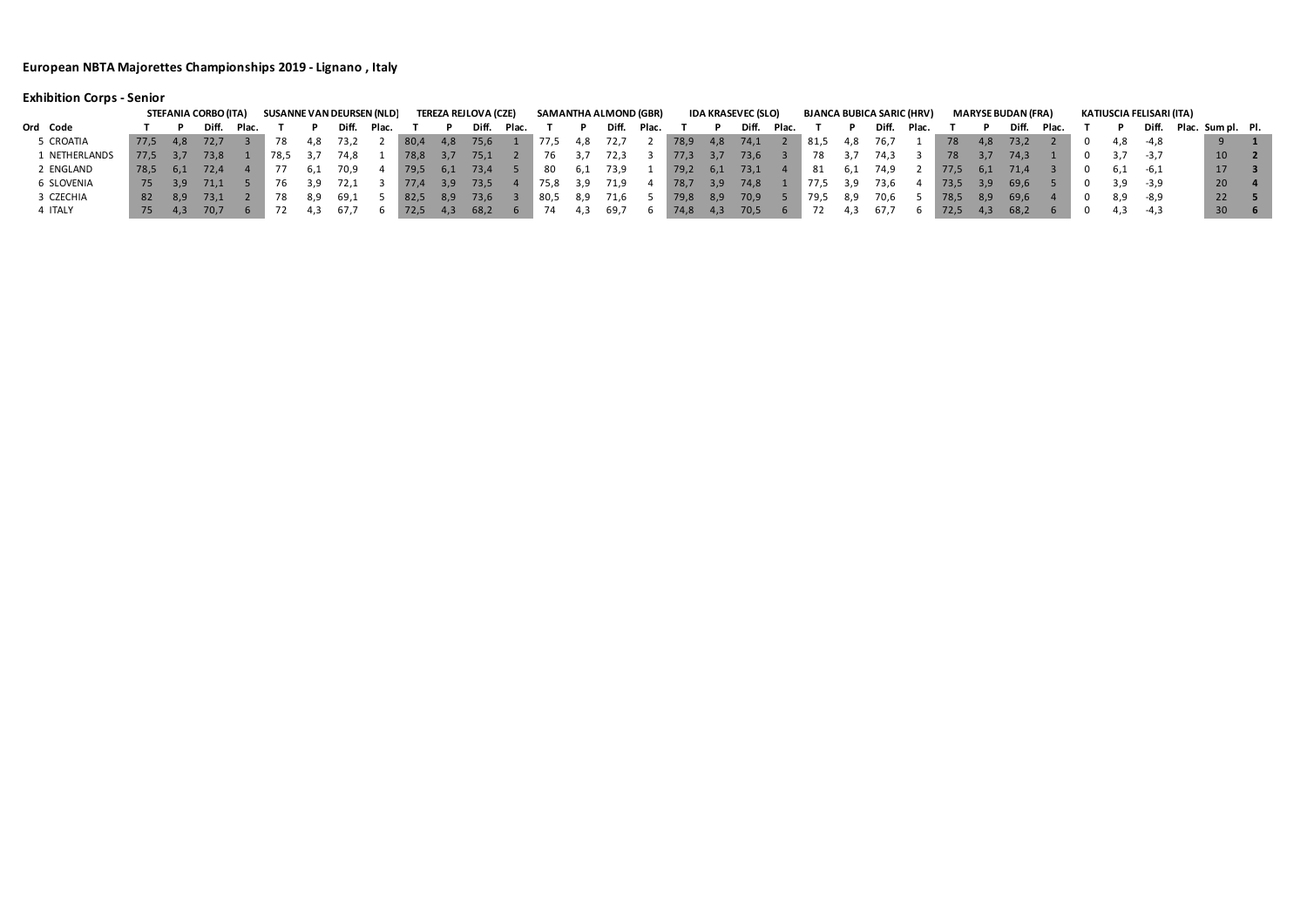# **Exhibition Corps - Senior**

|               |      |       | STEFANIA CORBO (ITA) |       |      |       |       | SUSANNE VAN DEURSEN (NLD) |        |      | TEREZA REJLOVA (CZE) |       |      |       | SAMANTHA ALMOND (GBR) |       |        |      | <b>IDA KRASEVEC (SLO)</b> |       | <b>BJANCA BUBICA SARIC (HRV)</b> |       |       |       |      |      | <b>MARYSE BUDAN (FRA)</b> |       |     | KATIUSCIA FELISARI (ITA) |                   |  |
|---------------|------|-------|----------------------|-------|------|-------|-------|---------------------------|--------|------|----------------------|-------|------|-------|-----------------------|-------|--------|------|---------------------------|-------|----------------------------------|-------|-------|-------|------|------|---------------------------|-------|-----|--------------------------|-------------------|--|
| Ord Code      |      |       | Diff.                | Plac. |      |       | Diff. | Plac.                     |        |      | Diff.                | Plac. |      |       | Diff.                 | Plac. |        |      | Diff.                     | Plac. |                                  |       | Diff. | Plac. |      |      | Diff.                     | Plac. |     | Diff.                    | Plac. Sum pl. Pl. |  |
| 5 CROATIA     | 77.5 | -4,8  | 72.7                 |       | 78   |       | 73,2  |                           | - 80,4 | 4,8  | 75,6                 |       | 77,5 | -4,8  | 72,7                  |       | 78,9   | 4,8  | 74,1                      |       | 81,5                             | 4,8   | 76,7  |       | 78   | -4,8 | 73,2                      |       | 4,8 | -4,8                     |                   |  |
| 1 NETHERLANDS | 77.5 | -3.7  | 73.8                 |       | 78,5 | - 3.7 | 74,8  |                           | 78,8   | -3,7 | 75,1                 |       | 76   |       | 72,3                  |       | 77,3   | -3,7 | 73,6                      |       | 78.                              |       | 74.3  |       | 78   |      | 74.3                      |       |     | $-3.7$                   | 10 <sup>°</sup>   |  |
| 2 ENGLAND     | 78.5 | 6.1   | 72,4                 |       |      |       | 70,9  |                           | 79,5   | -6,1 | 73,4                 |       | -80  | 6.L   | 73,9                  |       | 79,2   | -6,1 | 73,1                      |       | -81                              | -6.1  | 74.9  |       | 77,5 | 6,1  | 71,4                      |       | 6.1 | -6,1                     | 17                |  |
| 6 SLOVENIA    | 75   | -3.9  | 71.1                 |       |      |       | 72.1  |                           | 77,4   | 3,9  | 73,5                 |       | 75,8 | -3,9  | 71.9                  |       | - 78,7 | 3,9  | 74,8                      |       | 77.5                             | -3,9  | 73.6  |       | 73,5 | -3,9 | -69,6                     |       | 3,9 | -3,9                     | 20 <sup>2</sup>   |  |
| 3 CZECHIA     | -82  | - 8.9 | 73.1                 |       | 78   |       | 69,1  |                           | - 82,5 | 8,9  | 73,6                 |       | 80,5 | - 8,9 | 71,6                  |       | 79,8   | 8,9  | 70,9                      |       | 79,5                             | - 8,9 | 70.6  |       | 78,5 | 8,9  | 69,6                      |       | 8,9 | -8,9                     | 22                |  |
| 4 ITALY       | /5   | -4.3  | 70,7                 |       |      |       | 67.   |                           | 72,5   | 4,3  | 68,2                 |       | 74   | 4,3   | 69,7                  |       | 74,8   | -4,3 | 70,5                      |       |                                  | 4.3   | 61,1  |       |      |      | 68,2                      |       |     | -4,3                     | $30 \ 6$          |  |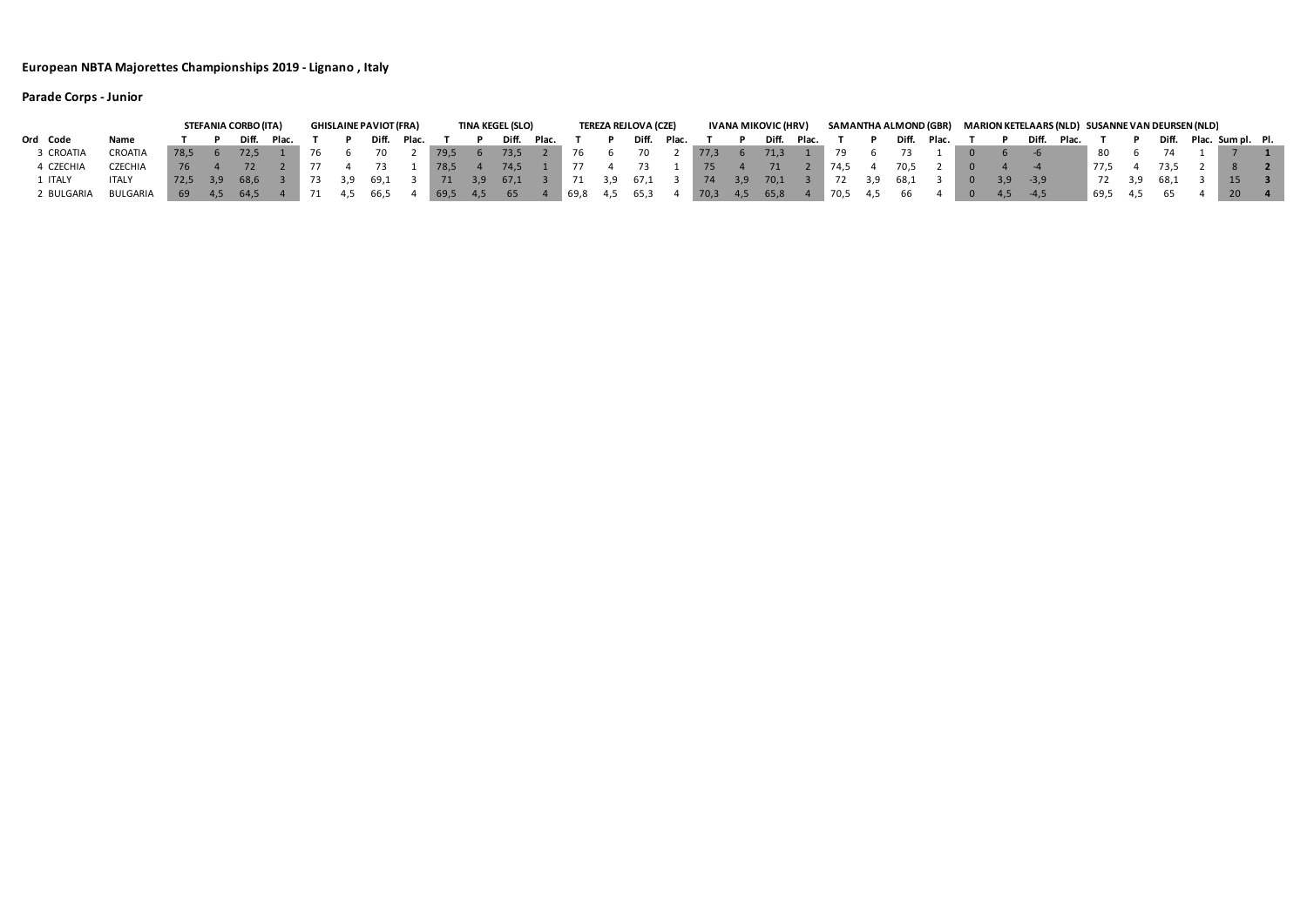|            |                |      |     | STEFANIA CORBO (ITA) |       |     |     | <b>GHISLAINE PAVIOT (FRA)</b> |       |      |     | <b>TINA KEGEL (SLO)</b> |       |      |     | TEREZA REJLOVA (CZE) |       |      |      | IVANA MIKOVIC (HRV) | SAMANTHA ALMOND (GBR) |       |       |       |     |        |         |      | MARION KETELAARS (NLD) SUSANNE VAN DEURSEN (NLD) |                   |  |
|------------|----------------|------|-----|----------------------|-------|-----|-----|-------------------------------|-------|------|-----|-------------------------|-------|------|-----|----------------------|-------|------|------|---------------------|-----------------------|-------|-------|-------|-----|--------|---------|------|--------------------------------------------------|-------------------|--|
| Ord Code   | Name           |      |     | Diff.                | Plac. |     |     | Diff.                         | Plac. |      |     | Diff.                   | Plac. |      |     | Diff.                | Plac. |      |      | Diff. Plac.         |                       |       | Diff. | Plac. |     | Diff.  | - Plac. |      | Diff.                                            | Plac. Sum pl. Pl. |  |
| 3 CROATIA  | CROATIA        | 78.5 |     | 72.5                 |       | -76 |     | 70                            |       | 79,5 |     | 73,5                    |       |      |     |                      |       | 77,3 |      | 71,3                |                       |       |       |       |     |        |         | 80   |                                                  |                   |  |
| 4 CZECHIA  | <b>CZECHIA</b> |      |     |                      |       |     |     |                               |       | 78.5 |     | 74.5                    |       |      |     |                      |       |      |      |                     | 74.5                  |       | 70.5  |       |     |        |         | 77.5 | 73.5                                             |                   |  |
| ITALY      | <b>ITALY</b>   | 72.5 | 3.9 | 68.6                 |       |     | 3.9 | 69.1                          |       | 71   | 3.9 | 67,1                    |       |      | 3,9 | 67,1                 |       | -74  | 3.9  | 70,1                |                       |       | 68.1  |       | 3.9 | $-3.9$ |         | 72   | 68.1                                             | 15                |  |
| 2 BULGARIA | BULGARIA       | 69   |     | 64,5                 |       |     |     | 66,5                          |       | 69,5 | 4.5 | 65                      |       | 69,8 |     | 65,3                 |       | 70,3 | -4.5 | 65,8                | 70,5                  | - 4.5 |       |       | 4.5 | $-4.5$ |         | 69,5 |                                                  | <b>20</b>         |  |

**Parade Corps - Junior**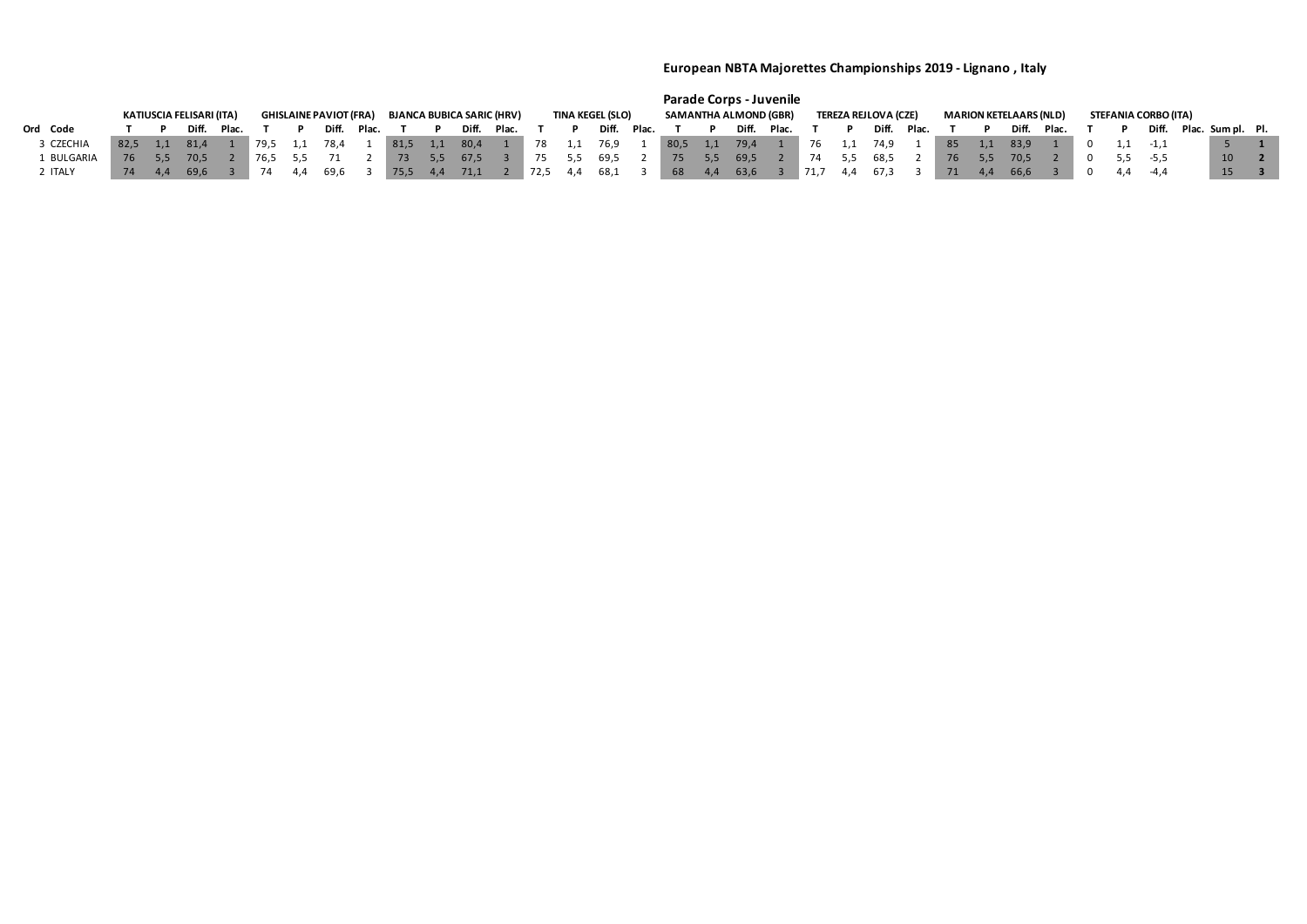|           |      |     |                          |             |       |      |                               |       |      |     |                                  |       |      |     |                         |       |                              |     | <b>Parade Corps - Juvenile</b> |       |                     |     |                             |       |    |     |                               |       |  |                      |                         |                 |  |
|-----------|------|-----|--------------------------|-------------|-------|------|-------------------------------|-------|------|-----|----------------------------------|-------|------|-----|-------------------------|-------|------------------------------|-----|--------------------------------|-------|---------------------|-----|-----------------------------|-------|----|-----|-------------------------------|-------|--|----------------------|-------------------------|-----------------|--|
|           |      |     | KATIUSCIA FELISARI (ITA) |             |       |      | <b>GHISLAINE PAVIOT (FRA)</b> |       |      |     | <b>BJANCA BUBICA SARIC (HRV)</b> |       |      |     | <b>TINA KEGEL (SLO)</b> |       | <b>SAMANTHA ALMOND (GBR)</b> |     |                                |       |                     |     | <b>TEREZA REJLOVA (CZE)</b> |       |    |     | <b>MARION KETELAARS (NLD)</b> |       |  | STEFANIA CORBO (ITA) |                         |                 |  |
| Ord Code  |      |     | Diff.                    | <b>Plac</b> |       |      | <b>Diff</b>                   | Plac. |      |     | Diff.                            | Plac. |      |     | Diff.                   | Plac. |                              |     | Diff.                          | Plac. |                     |     | Diff.                       | Plac. |    |     | Diff.                         | Plac. |  |                      | Diff. Plac. Sum pl. Pl. |                 |  |
| 3 CZECHIA | 82.5 |     | 81,4                     |             | 179.5 |      | 78,4                          |       | 81,5 | 1,1 | 80,4                             |       | 78   |     | 76,9                    |       | 80,5                         | 1,1 | 79,4                           |       | 76                  | 1,1 | 74,9                        |       | 85 | 1,1 | 83,9                          |       |  | -1.1                 |                         |                 |  |
| BULGARIA  | 76   |     | 70.5                     |             | 76.5  |      |                               |       |      | 5.5 | 67,5                             |       | 75   |     | 5,5 69,5                |       | 75 <sub>7</sub>              | 5,5 | 69,5                           |       | 74                  | 5,5 | 68,5                        |       | 76 | 5.5 | 70.5                          |       |  | 5,5 -5,5             |                         | 10 <sup>1</sup> |  |
| 2 ITALY   | 74   | 4.4 | 69,6                     |             |       | -4.4 | 69.6                          |       |      | 4.4 | 71,1                             |       | 72,5 | 4,4 | 68,1                    |       | 68                           | 4.4 | 63,6                           |       | $\blacksquare$ 71,7 | 4.4 | 67,3                        |       | 71 | 4.4 | 66,6                          |       |  | -4.4                 |                         | 15              |  |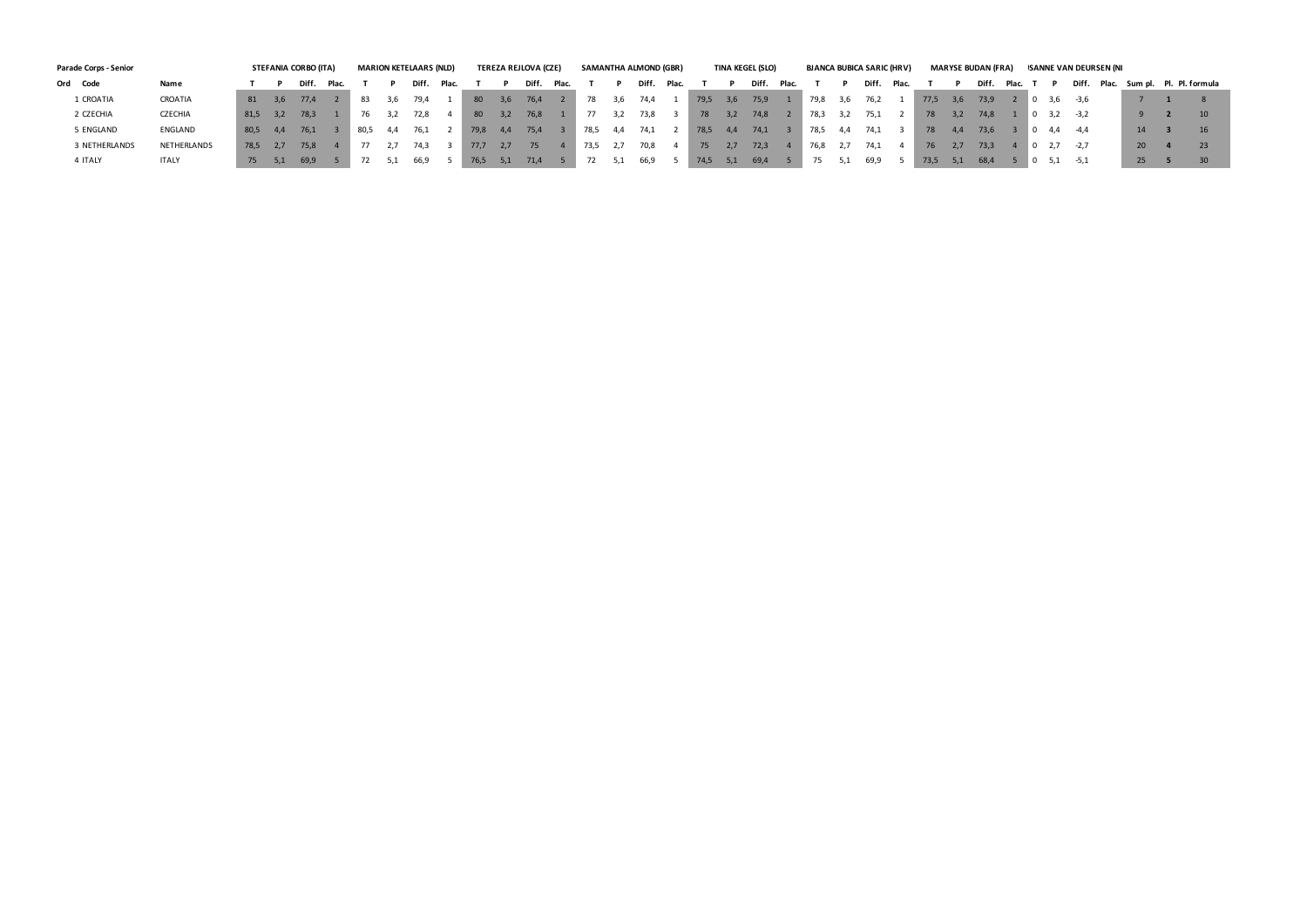| Parade Corps - Senior | <b>STEFANIA CORBO (ITA)</b> |      |     |       |       |      |    | <b>MARION KETELAARS (NLD)</b> |       |      |     | TEREZA REJLOVA (CZE) |       |      |     | SAMANTHA ALMOND (GBR) |       |      |     | TINA KEGEL (SLO) |       |      |      | <b>BJANCA BUBICA SARIC (HRV)</b> |       |      |     | <b>MARYSE BUDAN (FRA)</b> |       |       | ISANNE VAN DEURSEN (NI |           |                               |
|-----------------------|-----------------------------|------|-----|-------|-------|------|----|-------------------------------|-------|------|-----|----------------------|-------|------|-----|-----------------------|-------|------|-----|------------------|-------|------|------|----------------------------------|-------|------|-----|---------------------------|-------|-------|------------------------|-----------|-------------------------------|
| Ord Code              | Name                        |      |     | Diff. | Plac. |      |    | Diff.                         | Plac. |      |     | Diff.                | Plac. |      |     | Diff                  | Plac. |      |     | Diff.            | Plac. |      |      | Diff.                            | -Plac |      |     | Diff.                     | Plac. |       | Diff.                  |           | Plac. Sum pl. Pl. Pl. formula |
| 1 CROATIA             | CROATIA                     | 81   | 3,6 | 77.4  |       | 83   |    | 79.4                          |       | 80   | 3,6 | 76,4                 |       | 78   | 3.6 | 74.4                  |       | 79,5 | 3,6 | 75,9             |       | 79,8 | 3, b | 76,2                             |       | 77,5 | 3,6 | 73.9                      |       | - 3,6 | -3,6                   |           |                               |
| 2 CZECHIA             | CZECHIA                     | 81,5 | 3,2 | 78,3  |       |      |    | 72,8                          |       | 80   | 3,2 | 76,8                 |       |      |     | 73,8                  |       | 78   | 3,2 | 74,8             |       | 78,3 | 3, Z | 75,1                             |       | 78   |     | 74,8                      |       | 3,2   | $-3,2$                 |           |                               |
| 5 ENGLAND             | ENGLAND                     | 80,5 | 4.4 | 76,1  |       | 80,5 | 44 | 76.1                          |       | 79,8 | 4.4 | 75,4                 |       | 78,5 | 4.4 | 74,⊥                  |       | 78,5 | 4.4 | 74,1             |       | 78,5 | 4.4  | 74,1                             |       | 78   |     | 73,6                      |       | -4.4  | -4.4                   | 14        |                               |
| 3 NETHERLANDS         | NETHERLANDS                 | 78,5 | 2.7 | 75,8  |       |      |    | 74.3                          |       | 77.7 | 2.7 | 75                   |       | 73,5 |     | 70,8                  |       | 75   | 2.7 | 72,3             |       | 76,8 |      | 74.1                             |       | 76   |     | 73.3                      |       |       | $-2.7$                 | <b>20</b> |                               |
| 4 ITALY               | <b>ITALY</b>                | 75   | 5,1 | 69,9  |       |      |    | 66,9                          |       | 76,5 | 5,1 | 71,4                 |       |      |     | 66,9                  |       | 74,5 |     | 69,4             |       |      |      | 69,9                             |       | 73,5 |     | 68,4                      |       | 5,1   | $-5,1$                 | 25        |                               |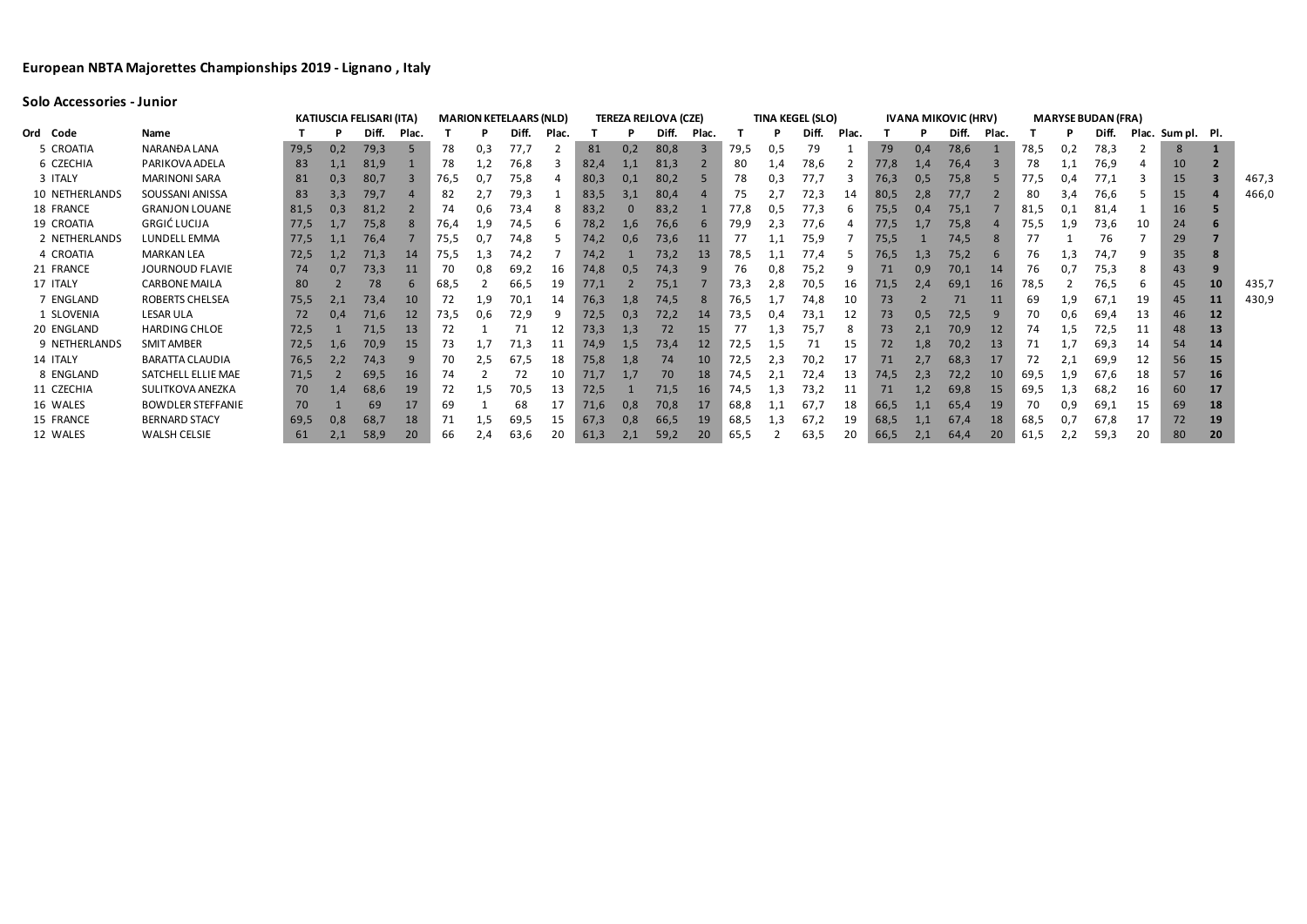## **Solo Accessories - Junior**

|                |                          | <b>KATIUSCIA FELISARI (ITA)</b><br><b>TEREZA REJLOVA (CZE)</b><br><b>TINA KEGEL (SLO)</b><br><b>IVANA MIKOVIC (HRV)</b><br><b>MARION KETELAARS (NLD)</b> |     |       |       |      |     |       |             |      |     |       |           |      |     |       |       | <b>MARYSE BUDAN (FRA)</b> |     |       |       |      |     |       |    |                   |           |       |
|----------------|--------------------------|----------------------------------------------------------------------------------------------------------------------------------------------------------|-----|-------|-------|------|-----|-------|-------------|------|-----|-------|-----------|------|-----|-------|-------|---------------------------|-----|-------|-------|------|-----|-------|----|-------------------|-----------|-------|
| Ord Code       | <b>Name</b>              |                                                                                                                                                          |     | Diff. | Plac. |      |     | Diff. | <b>Plac</b> |      |     | Diff. | Plac.     |      | P   | Diff. | Plac. |                           |     | Diff. | Plac. |      |     | Diff. |    | Plac. Sum pl. Pl. |           |       |
| 5 CROATIA      | NARANĐA LANA             | 79,5                                                                                                                                                     | 0,2 | 79,3  | 5     | 78   | 0,3 | 77,.  |             | 81   | 0,2 | 80,8  | 3         | 79,5 | 0,5 | 79    |       | 79                        | 0,4 | 78,6  |       | 78,5 | 0,2 | 78,3  |    | -8                |           |       |
| 6 CZECHIA      | PARIKOVA ADELA           | 83                                                                                                                                                       |     | 81,9  |       | 78   |     | 76,8  |             | 82,4 | 1,1 | 81,3  |           | 80   | 1,4 | 78,6  |       | 77,8                      | 1,4 | 76,4  |       | 78   |     | 76,9  |    | 10                |           |       |
| 3 ITALY        | <b>MARINONI SARA</b>     | 81                                                                                                                                                       | 0,3 | 80,7  |       | 76,5 |     | 75,8  |             | 80,3 | 0,1 | 80,2  |           | 78   | 0,3 | 77,7  |       | 76,3                      | 0,5 | 75,8  |       | 77,5 | 0.4 |       |    | 15                |           | 467,3 |
| 10 NETHERLANDS | SOUSSANI ANISSA          | 83                                                                                                                                                       | 3,3 | 79,   |       | 82   | 2,7 | 79,3  |             | 83,5 | 3.1 | 80,4  |           | 75   |     | 72,3  | 14    | 80,5                      | 2,8 | 77.   |       | 80   | 3,4 | 76,6  |    | 15                |           | 466,0 |
| 18 FRANCE      | <b>GRANJON LOUANE</b>    | 81,5                                                                                                                                                     | 0,3 | 81,2  |       | 74   | U,6 | 73,4  | 8           | 83,2 |     | 83,2  |           | 77,8 | U,5 | 77,3  | b     | 75,5                      | 0.4 | 75,1  |       | 81,5 | 0,1 | 81,4  |    | 16                |           |       |
| 19 CROATIA     | GRGIĆ LUCIJA             | 77,5                                                                                                                                                     |     | 75,8  |       | 76,4 | 1,9 | 74,5  |             | 78,2 | 1,6 | 76,6  |           | 79,9 | 2,3 | 77,6  |       | 77,5                      |     | 75,8  |       | 75,5 | 1,9 | 73,6  | 10 | 24                |           |       |
| 2 NETHERLANDS  | <b>LUNDELL EMMA</b>      | 77,5                                                                                                                                                     |     | 76,4  |       | 75,5 |     | 74.8  |             | 74,2 | 0,6 | 73,6  | 11        |      |     | 75,9  |       | 75,5                      |     | 74.5  |       | 77   |     | 76    |    | 29                |           |       |
| 4 CROATIA      | <b>MARKAN LEA</b>        | 72,5                                                                                                                                                     | 1,2 | 71,3  | 14    | 75,5 | 1,3 | 74,2  |             | 74,2 |     | 73,2  | <b>13</b> | 78,5 | 1,1 | 77,4  |       | 76,5                      | 1,3 | 75,2  |       | 76   | 1,3 | 74,7  |    | 35                |           |       |
| 21 FRANCE      | JOURNOUD FLAVIE          | 74                                                                                                                                                       | 0,7 | 73,3  | 11    | 70   | 0.8 | 69,2  | 16          | 74,8 | 0,5 | 74,3  |           | 76.  | 0,8 | 75,2  |       | 71                        | 0,9 | 70,1  | 14    | 76   |     | 75,3  |    | 43                |           |       |
| 17 ITALY       | <b>CARBONE MAILA</b>     | 80                                                                                                                                                       |     | 78    |       | 68,5 |     | 66,5  | 19          | 77.1 |     | 75,1  |           | 73,3 | 2,8 | 70,5  | 16    | 71,5                      | 2.4 | 69,1  | 16    | 78,5 |     | 76,5  |    | 45                | <b>10</b> | 435,7 |
| 7 ENGLAND      | ROBERTS CHELSEA          | 75,5                                                                                                                                                     | 2,1 | 73,4  | 10    | -72  | 1,9 | 70,1  | 14          | 76,3 | 1,8 | 74,5  | -8        | 76,5 |     | 74,8  | 10    | 73                        |     | 71    | 11    | 69   | 1,9 | 67,1  | 19 | 45                | <b>11</b> | 430,9 |
| 1 SLOVENIA     | <b>LESAR ULA</b>         | 72                                                                                                                                                       | 0,4 | 71,6  | 12    | 73,5 | 0.6 | 72,9  |             | 72,5 | 0,3 | 72,2  | 14        | 73,5 | U.4 | 73,1  | 12    | 73                        | 0,5 | 72,5  |       | 70   | 0.6 | 69,4  | 13 | 46                | <b>12</b> |       |
| 20 ENGLAND     | <b>HARDING CHLOE</b>     | 72,5                                                                                                                                                     |     | 71,5  | 13    | 72   |     |       | 12          | 73,3 | 1,3 | 72    | 15        | 77   | 1,3 | 75,   | 8     | 73                        | 2,1 | 70,9  | 12    | 74   | 1,5 | 72,5  | 11 | 48                | 13        |       |
| 9 NETHERLANDS  | <b>SMIT AMBER</b>        | 72,5                                                                                                                                                     | 1,6 | 70,9  | 15    | 73   |     | 71,3  | 11          | 74,9 | 1,5 | 73,4  | 12        | 72,5 | 1,5 | 71    | 15    | 72                        | 1,8 | 70,2  | 13    |      |     | 69,3  | 14 | 54                | 14        |       |
| 14 ITALY       | <b>BARATTA CLAUDIA</b>   | 76,5                                                                                                                                                     | 2,2 | 74,3  |       | 70   | 2,5 | 67,5  | 18          | 75,8 | 1,8 | 74    | 10        | 72,5 | 2,3 | 70,2  | 17    | 71                        | 2,7 | 68,3  | 17    | 72   | 2,1 | 69,9  | 12 | 56                | <b>15</b> |       |
| 8 ENGLAND      | SATCHELL ELLIE MAE       | 71,5                                                                                                                                                     |     | 69,5  | 16    | 74   |     | 72    |             | 71,7 |     | 70    | 18        | 74,5 | 2,1 | 72,4  | 13    | 74,5                      | 2,3 | 72,2  | 10    | 69,5 | 1,9 | 67,6  | 18 | 57                | 16        |       |
| 11 CZECHIA     | SULITKOVA ANEZKA         | 70                                                                                                                                                       | 1,4 | 68,6  | 19    | 72   | 1,5 | 70,5  | 13          | 72,5 |     | 71,5  | 16        | 74,5 | 1,3 | 73,2  | 11    | 71                        | 1,2 | 69,8  | 15    | 69,5 | 1,3 | 68,2  | 16 | 60                | 17        |       |
| 16 WALES       | <b>BOWDLER STEFFANIE</b> | 70                                                                                                                                                       |     | 69    | 17    | 69   |     | 68    |             | 71,6 | 0,8 | 70,8  | 17        | 68,8 | 1,1 | 67.7  | 18    | 66,5                      |     | 65,4  | 19    | 70   | 0,9 | 69,1  | 15 | 69                | <b>18</b> |       |
| 15 FRANCE      | <b>BERNARD STACY</b>     | 69,5                                                                                                                                                     | 0,8 | 68,7  | 18    | 71   | 1,5 | 69,5  | 15          | 67,3 | 0,8 | 66,5  | 19        | 68,5 | 1,3 | 67,2  | 19    | 68,5                      |     | 67.4  | 18    | 68,5 |     | 67,8  |    | 72                | 19        |       |
| 12 WALES       | <b>WALSH CELSIE</b>      | 61                                                                                                                                                       |     | 58,9  | 20    | 66   | 2,4 | 63,6  | 20          | 61,3 | 2,1 | 59,2  | 20        | 65,5 |     | 63,5  |       | 66,5                      | 2,1 | 64,4  | 20    | 61,5 |     | 59,3  | 20 | 80                | 20        |       |
|                |                          |                                                                                                                                                          |     |       |       |      |     |       |             |      |     |       |           |      |     |       |       |                           |     |       |       |      |     |       |    |                   |           |       |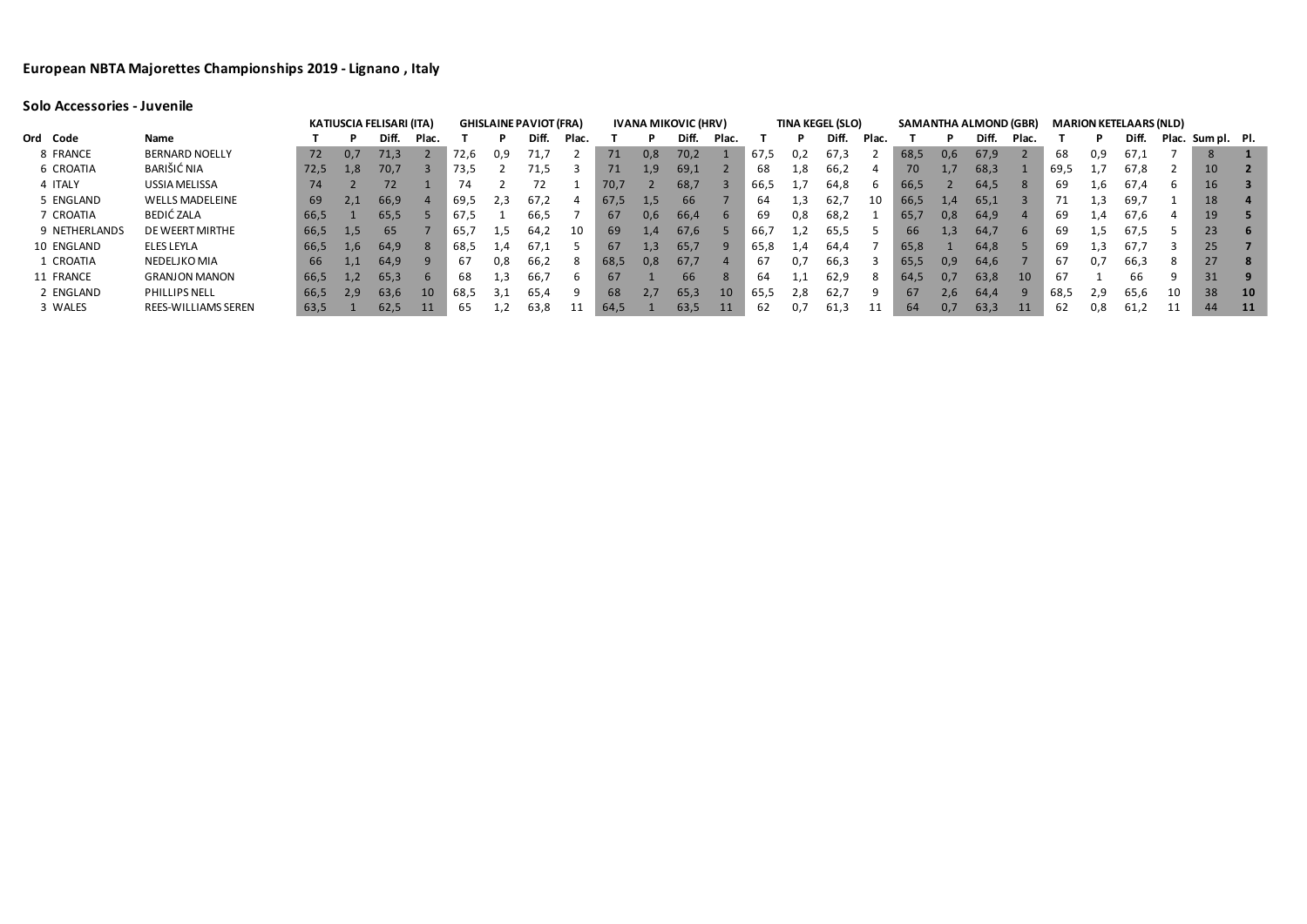|               |                        |      |     | <b>KATIUSCIA FELISARI (ITA)</b> |       |      |     | <b>GHISLAINE PAVIOT (FRA)</b> |       |      |     | <b>IVANA MIKOVIC (HRV)</b> |       |      |     | <b>TINA KEGEL (SLO)</b> |             |      |     | <b>SAMANTHA ALMOND (GBR)</b> |               |      |                  | <b>MARION KETELAARS (NLD)</b> |    |                   |                 |
|---------------|------------------------|------|-----|---------------------------------|-------|------|-----|-------------------------------|-------|------|-----|----------------------------|-------|------|-----|-------------------------|-------------|------|-----|------------------------------|---------------|------|------------------|-------------------------------|----|-------------------|-----------------|
| Ord Code      | Name                   |      |     | Diff.                           | Plac. |      |     | Diff.                         | Plac. |      |     | Diff.                      | Plac. |      |     | Diff.                   | <b>Plac</b> |      |     | Diff.                        | Plac.         |      | P.               | Diff.                         |    | Plac. Sum pl. Pl. |                 |
| 8 FRANCE      | <b>BERNARD NOELLY</b>  | 72   | 0,7 | 71,3                            |       | 72,6 | 0,9 | 71,7                          |       | 71   | 0,8 | 70,2                       |       | 67,5 | 0,2 | 67,3                    |             | 68,5 | 0,6 | 67,9                         |               | 68   | 0,9              | 67,1                          |    | 8                 |                 |
| 6 CROATIA     | BARIŠIĆ NIA            | 72,5 | 1,8 | 70,7                            |       | 73,5 |     | 71,5                          |       | 71   | 1,9 | 69,1                       |       | 68   | 1,8 | 66,2                    | 4           | 70   |     | 68,3                         |               | 69,5 |                  | 67,8                          |    | 10                |                 |
| 4 ITALY       | USSIA MELISSA          | 74   |     | 72                              |       | 74   |     |                               |       | 70,7 |     | 68,7                       |       | 66,5 |     | 64,8                    |             | 66,5 |     | 64,5                         | 8             | 69   | 1,6              | 67.4                          | b  | 16                |                 |
| 5 ENGLAND     | <b>WELLS MADELEINE</b> | 69   | 2,1 | 66,9                            |       | 69,5 | 2,3 | 67,2                          |       | 67,5 | 1,5 | 66                         |       | 64   | ⊥.3 | 62,7                    | 10          | 66,5 | 1,4 | 65,1                         |               | 71   | 1,3              | 69,7                          |    | 18                |                 |
| 7 CROATIA     | BEDIĆ ZALA             | 66,5 |     | 65,5                            |       | 67,5 |     | 66.5                          |       | 67   | 0.6 | 66,4                       |       | 69   | 0,8 | 68,2                    |             | 65,7 | 0,8 | 64,9                         |               | 69   | 1,4              | 67,6                          | 4  | 19                |                 |
| 9 NETHERLANDS | DE WEERT MIRTHE        | 66,5 | 1,5 | 65                              |       | 65,  | 1,5 | 64,2                          | 10    | 69   | 1.4 | 67,6                       |       | 66,  |     | 65,5                    |             | 66   | 1.3 | 64,7                         | $\mathsf{b}$  | 69   | 1.5 <sub>1</sub> | 67,5                          |    | 23                | - 6             |
| 10 ENGLAND    | ELES LEYLA             | 66,5 | 1,6 | 64,9                            |       | 68,5 | 1.4 | 67.1                          |       | 67   | 1,3 | 65,7                       |       | 65,8 | 1,4 | 64.4                    |             | 65,8 |     | 64,8                         |               | 69   |                  | 67,7                          | З  | 25                |                 |
| 1 CROATIA     | NEDELJKO MIA           | 66   | 1,1 | 64,9                            |       | 67   | 0,8 | 66.2                          | 8     | 68,5 | 0,8 | 67,7                       |       | 67   |     | 66,3                    |             | 65,5 | 0,9 | 64,6                         |               | 67   | 0.7              | 66,3                          | 8  | 27                | ਚ 8ਾ            |
| 11 FRANCE     | <b>GRANJON MANON</b>   | 66,5 | 1,2 | 65,3                            | 6     | 68   | 1,3 | 66,7                          |       | 67   |     | 66                         |       | 64   | 1,1 | 62,9                    | 8           | 64,5 | 0.7 | 63,8                         | <sup>10</sup> | 67   |                  | 66                            | q  | 31                |                 |
| 2 ENGLAND     | PHILLIPS NELL          | 66,5 | 2,9 | 63,6                            | 10    | 68,5 | 3,1 | 65,4                          |       | 68   | 2,7 | 65,3                       | 10    | 65,5 | 2,8 | 62,7                    |             | 67   | 2,6 | 64,4                         |               | 68,5 | 2,9              | 65,6                          | 10 | 38                | <b>10</b>       |
| 3 WALES       | REES-WILLIAMS SEREN    | 63,5 |     | 62,5                            | 11    | 65   |     | 63,8                          | 11    | 64,5 |     | 63,5                       | 11    | 62   |     | 61,3                    |             | 64   | 0,7 | 63,3                         |               | 62   | 0,8              | 61,2                          |    | 44                | $\overline{11}$ |

# **Solo Accessories - Juvenile**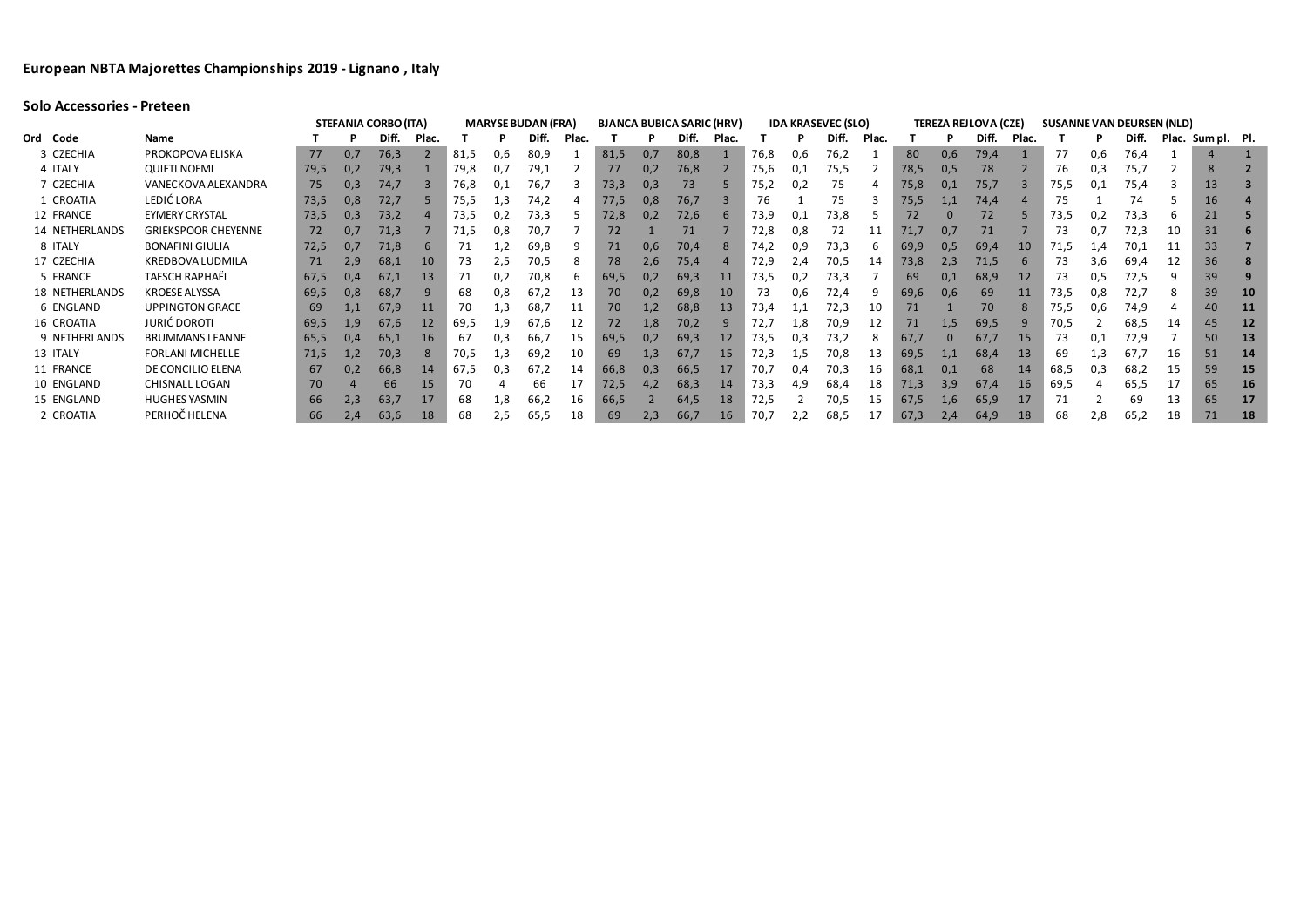|                       |                            |      |     | <b>STEFANIA CORBO (ITA)</b> |             |      |     | <b>MARYSE BUDAN (FRA)</b> |      |      |     | <b>BJANCA BUBICA SARIC (HRV)</b> |       |      |     | <b>IDA KRASEVEC (SLO)</b> |       |      |     | <b>TEREZA REJLOVA (CZE)</b> |       |      |     | <b>SUSANNE VAN DEURSEN (NLD)</b> |    |                   |           |
|-----------------------|----------------------------|------|-----|-----------------------------|-------------|------|-----|---------------------------|------|------|-----|----------------------------------|-------|------|-----|---------------------------|-------|------|-----|-----------------------------|-------|------|-----|----------------------------------|----|-------------------|-----------|
| Ord Code              | Name                       |      |     | Diff.                       | <b>Plac</b> |      |     | Diff.                     | Plac |      |     | Diff.                            | Plac. |      |     | Diff.                     | Plac. |      |     | Diff.                       | Plac. |      |     | Diff.                            |    | Plac. Sum pl. Pl. |           |
| 3 CZECHIA             | PROKOPOVA ELISKA           | 77   | 0,7 | 76,3                        |             | 81,5 | 0,6 | 80,9                      |      | 81,5 | 0,7 | 80,8                             |       | 76,8 | 0.6 | 76,2                      |       | 80   | 0,6 | 79,4                        |       |      | 0,6 | 76,4                             |    |                   |           |
| 4 ITALY               | <b>QUIETI NOEMI</b>        | 79,5 | 0,2 | 79,3                        |             | 79,8 |     | 79,1                      |      | 77   | 0.2 | 76,8                             |       | 75,6 |     | 75,5                      |       | 78,5 | 0,5 | 78                          |       | 76   | 0,3 | 75,7                             |    |                   |           |
| 7 CZECHIA             | VANECKOVA ALEXANDRA        | 75   | 0,3 | 74,7                        |             | 76,8 |     | 76.7                      |      | 73,3 | 0,3 | 73                               |       | 75,2 | 0,2 | 75                        |       | 75,8 | 0,1 | 75,7                        |       | 75,5 | 0,1 | 75,4                             |    | 13                |           |
| 1 CROATIA             | LEDIĆ LORA                 | 73,5 | 0,8 | 72,7                        |             | 75,5 | 1,3 | 74,2                      |      | 77,5 | 0,8 | 76,7                             |       | 76   |     | 75                        |       | 75,5 | 1,1 | 74,4                        |       | 75   |     | 74                               |    | 16                |           |
| 12 FRANCE             | <b>EYMERY CRYSTAL</b>      | 73,5 | 0,3 | 73,2                        |             | 73,5 |     | 73,3                      |      | 72,8 | 0,2 | 72,6                             |       | 73,9 | 0,1 | 73,8                      |       | 72   |     | 72                          |       | 73,5 | 0,2 | 73,3                             |    | 21                |           |
| 14 NETHERLANDS        | <b>GRIEKSPOOR CHEYENNE</b> | 72   | 0,7 | 71,3                        |             | 71,5 | 0,8 | 70,7                      |      | 72   |     | 71                               |       | 72,8 | 0,8 | 72                        | 11    | 71,7 |     | 71                          |       | 73   | 0,7 | 72,3                             | 10 | 31                |           |
| 8 ITALY               | <b>BONAFINI GIULIA</b>     | 72,5 | 0,7 | 71,8                        |             |      |     | 69,8                      |      | 71   | 0,6 | 70,4                             |       | 74.2 | 0,9 | 73,3                      |       | 69,9 | 0,5 | 69,4                        | 10    | 71,5 | 1,4 | 70.1                             |    | 33                |           |
| 17 CZECHIA            | KREDBOVA LUDMILA           | 71   | 2,9 | 68,1                        | 10          | 73   | 2,5 | 70,5                      |      | 78   | 2,6 | 75,4                             |       | 72,9 | 2,4 | 70,5                      | 14    | 73,8 | 2,3 | 71,5                        |       | 73   | 3,6 | 69,4                             |    | 36                |           |
| 5 FRANCE              | TAESCH RAPHAËL             | 67,5 | 0,4 | 67.1                        | 13          | 71   |     | 70,8                      |      | 69,5 |     | 69,3                             |       | 73,5 |     | 73,3                      |       | 69   |     | 68,9                        | 12    | 73   |     | 72,5                             |    | 39                |           |
| <b>18 NETHERLANDS</b> | <b>KROESE ALYSSA</b>       | 69,5 | 0,8 | 68,7                        | q           | 68   | 0,8 | 67,2                      | 13   | 70   | 0,2 | 69,8                             | 10    | 73   | 0,6 | 72,4                      |       | 69,6 | 0,6 | 69                          | 11    | 73,5 | 0,8 | 72,7                             |    | 39                | <b>10</b> |
| 6 ENGLAND             | <b>UPPINGTON GRACE</b>     | 69   |     | 67,9                        | 11          | 70   | 1,3 | 68,7                      | 11   | 70   | 1,2 | 68,8                             | 13    | 73,4 |     | 72,3                      | 10    | 71   |     | 70                          |       | 75,5 | 0.6 | 74,9                             |    | 40                | <b>11</b> |
| 16 CROATIA            | <b>JURIĆ DOROTI</b>        | 69,5 | 1,9 | 67,6                        | 12          | 69,5 | 1,9 | 67,6                      | 12   | 72   | 1,8 | 70,2                             |       | 72,7 | 1,8 | 70,9                      | 12    | 71   | 1,5 | 69,5                        |       | 70,5 |     | 68,5                             | 14 | 45                | $12$      |
| 9 NETHERLANDS         | <b>BRUMMANS LEANNE</b>     | 65,5 | 0,4 | 65,1                        | 16          | 67   | 0,3 | 66,7                      | 15   | 69,5 | 0,2 | 69,3                             | 12    | 73,5 | 0,3 | 73,2                      |       | 67,7 |     | 67,7                        | 15    | 73   | 0,1 | 72,9                             |    | 50                | <b>13</b> |
| 13 ITALY              | <b>FORLANI MICHELLE</b>    | 71,5 | 1,2 | 70,3                        |             | 70,5 | 1,3 | 69,2                      | 10   | 69   | 1,3 | 67,7                             | 15    | 72,3 | 1,5 | 70,8                      | 13    | 69,5 | 1,1 | 68,4                        | 13    | 69   | 1,3 | 67,7                             | 16 | 51                | <b>14</b> |
| 11 FRANCE             | DE CONCILIO ELENA          | 67   | 0,2 | 66,8                        | 14          | 67.5 | 0,3 | 67.2                      | 14   | 66,8 | 0,3 | 66,5                             |       | 70,7 | 0,4 | 70,3                      | 16    | 68,1 |     | 68                          | 14    | 68,5 | 0,3 | 68,2                             | 15 | 59                | <b>15</b> |
| 10 ENGLAND            | CHISNALL LOGAN             | 70   |     | 66                          | 15          |      |     | 66                        |      | 72,5 |     | 68,3                             | 14    | 73,3 | 4,9 | 68,4                      | 18    | 71,3 | 3.9 | 67.4                        | 16    | 69,5 |     | 65,5                             |    | 65                | <b>16</b> |
| 15 ENGLAND            | <b>HUGHES YASMIN</b>       | 66   | 2,3 | 63,7                        |             | 68   | 1,8 | 66,2                      | 16   | 66,5 |     | 64,5                             | 18    | 72,5 |     | 70,5                      | 15    | 67,5 | 1.6 | 65,9                        | 17    |      |     | 69                               | 13 | 65                | 17        |
| 2 CROATIA             | PERHOČ HELENA              | 66   | 2,4 | 63,6                        | 18          | 68   |     | 65,5                      | 18   | 69   | 2,3 | 66,7                             | 16    | 70.7 |     | 68,5                      |       | 67,3 |     | 64,9                        | 18    | 68   | 2,8 | 65,2                             | 18 | 71                | 18        |

# **Solo Accessories - Preteen**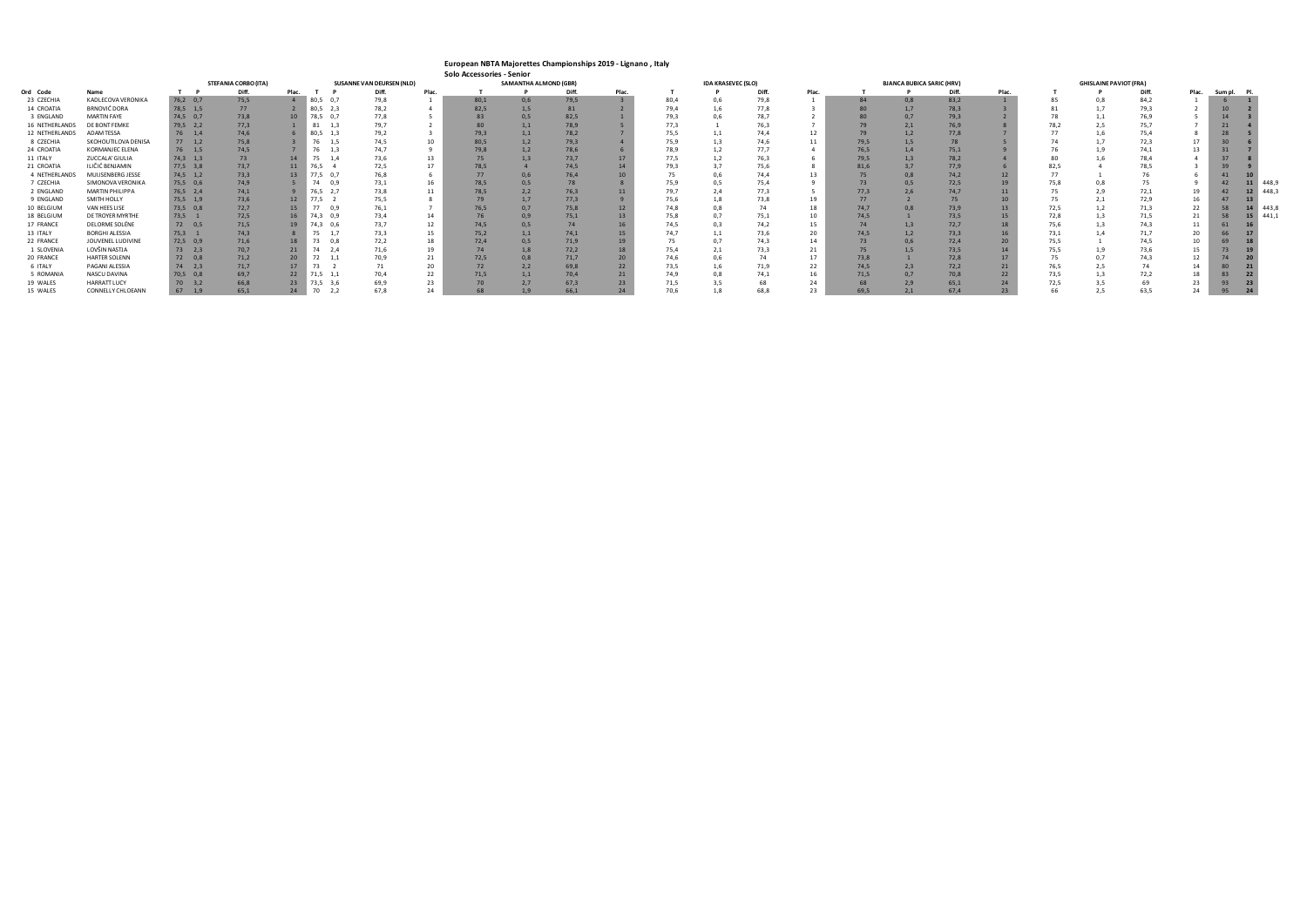### **European NBTA Majorettes Championships 2019 - Lignano , Italy Solo Accessories - Senior**

|                |                        |                | <b>STEFANIA CORBO (ITA)</b> |                 |            | <b>SUSANNE VAN DEURSEN (NLD)</b> |       |      | SAMANTHA ALMOND (GBR) |       |       |      | <b>IDA KRASEVEC (SLO)</b> |       |       |      | <b>BJANCA BUBICA SARIC (HRV)</b> |       |       |      | <b>GHISLAINE PAVIOT (FRA)</b> |       |    |                   |       |
|----------------|------------------------|----------------|-----------------------------|-----------------|------------|----------------------------------|-------|------|-----------------------|-------|-------|------|---------------------------|-------|-------|------|----------------------------------|-------|-------|------|-------------------------------|-------|----|-------------------|-------|
| Ord Code       | Name                   |                |                             | Plac.           |            | Diff.                            | Plac. |      |                       | Diff. | Plac. |      |                           | Diff. | Plac. |      |                                  | Diff. | Plac. |      |                               | Diff. |    | Plac. Sum pl. Pl. |       |
| 23 CZECHIA     | KADLECOVA VERONIKA     | $76,2$ 0,7     | 75,5                        |                 | $80,5$ 0,7 | 79,8                             |       | 80,1 | 0.6                   | 79,5  |       | 80,4 |                           | 79,8  |       |      | 0.8                              | 83,2  |       |      |                               | 84,2  |    |                   |       |
| 14 CROATIA     | BRNOVIĆ DORA           | 78,5 1,5       | 77                          |                 | $80,5$ 2,3 | 78,2                             |       | 82.5 | 1.5                   |       |       | 79,4 |                           | 77,8  |       |      |                                  | 78,3  |       |      |                               | 79.3  |    |                   |       |
| 3 ENGLAND      | <b>MARTIN FAYE</b>     | 74,5 0,7       | 73,8                        | 10              | 78,5 0,7   | 77,8                             |       |      | 0.5                   | 82,5  |       | 79,3 |                           | 78,7  |       |      |                                  | 79,3  |       |      | 1.1                           | 76,9  |    |                   |       |
| 16 NETHERLANDS | DE BONT FEMKE          | 79,5 2,2       | 77,3                        |                 | 1,3<br>81  | 79,7                             |       |      | 1.1                   | 78,9  |       | 77,3 |                           | 76,3  |       |      |                                  | 76,9  |       |      |                               |       |    |                   |       |
| 12 NETHERLANDS | <b>ADAM TESSA</b>      | 76<br>1,4      | 74,6                        |                 | $80,5$ 1,3 | 79,2                             |       | 79.3 | 1.1                   | 78.2  |       | 75,5 |                           | 74,4  |       |      |                                  | 77,8  |       |      |                               | 75,4  |    |                   |       |
| 8 CZECHIA      | SKOHOUTILOVA DENISA    | $77 \quad 1,2$ | 75,8                        |                 | 1,5        | 74,5                             |       | 80.5 | 1.2                   | 79,3  |       | 75,9 |                           | 74,6  |       | 79,5 |                                  |       |       |      |                               | 72,3  |    |                   |       |
| 24 CROATIA     | KORMANJEC ELENA        | 76 1,5         | 74,5                        |                 | 76<br>1,3  | 74,7                             |       | 79,8 | 1.2                   | 78,6  |       | 78,9 |                           |       |       | 76.5 |                                  | 75,1  |       |      |                               |       |    |                   |       |
| 11 ITALY       | ZUCCALA' GIULIA        | $74,3$ 1,3     |                             |                 | 75<br>1,4  | 73,6                             | 13    |      |                       | 73,7  |       | 77,5 |                           |       |       | 79,5 |                                  | 78,2  |       |      |                               | 78,4  |    |                   |       |
| 21 CROATIA     | ILIČIĆ BENJAMIN        | 77,5 3,8       | 73,7                        | 11              | $76.5 - 4$ | 72,5                             | 17    | 78.5 |                       | 74.5  |       | 79,3 |                           | 75,6  |       | 81.6 |                                  | 77,9  |       |      |                               |       |    |                   |       |
| 4 NETHERLANDS  | MUIJSENBERG JESSE      | $74,5$ 1,2     | 73,3                        | 13 <sup>7</sup> | 77,5 0,7   | 76,8                             |       |      | 0,6                   | 76,4  |       |      |                           | 74,4  |       |      |                                  | 74,2  |       |      |                               |       |    |                   |       |
| 7 CZECHIA      | SIMONOVA VERONIKA      | 75,5 0,6       | 74,9                        |                 | 74 0.9     | 73,1                             | 16    | 78,5 | 0,5                   |       |       | 75,9 |                           | 75,4  |       |      |                                  | 72,5  |       |      |                               |       |    |                   | 448,9 |
| 2 ENGLAND      | <b>MARTIN PHILIPPA</b> | $76,5$ 2,4     | 74,1                        |                 | 76,5 2,7   | 73,8                             | 11    | 78,5 | 2,2                   | 76,3  |       | 79,7 |                           | 77,3  |       | 77,3 |                                  | 74,7  |       |      | 2,9                           | 72,1  | 19 |                   | 448,3 |
| 9 ENGLAND      | SMITH HOLLY            | 75,5 1,9       | 73,6                        | 12              | 77,5 2     | 75,5                             |       |      |                       | 77,3  |       | 75,6 |                           | 73,8  |       |      |                                  |       |       |      | 2,1                           | 72,9  | 16 |                   |       |
| 10 BELGIUM     | VAN HEES LISE          | 73,5 0,8       | 72,7                        | 15              | 77 0,9     | 76,1                             |       | 76.5 | 0.7                   | 75,8  |       | 74.8 |                           |       |       | 74,7 |                                  | 73,9  |       |      | 1.2                           | 71,3  | 22 |                   | 443,8 |
| 18 BELGIUM     | DE TROYER MYRTHE       | 73,5 1         | 72,5                        | 16              | 74,3 0,9   | 73,4                             | 14    |      | 0.9                   | 75,1  |       | 75,8 |                           | 75,1  |       | 74.5 |                                  | 73,5  |       |      |                               | 71.5  | 21 |                   | 441.1 |
| 17 FRANCE      | DELORME SOLÉNE         | 72 0,5         | 71,5                        | 19              | 74,3 0,6   | 73,7                             | 12    | 74.5 | 0.5                   |       |       | 74.5 |                           | 74,2  |       |      |                                  | 72,7  |       | 75,6 |                               | 74.3  | 11 |                   |       |
| 13 ITALY       | <b>BORGHI ALESSIA</b>  | 75.3 1         | 74.3                        |                 | 1.7        | 73,3                             | 15    | 75,2 | 1.1                   | 74.1  |       | 74.7 |                           | 73,6  |       | 74.5 |                                  | 73,3  |       | 73,1 |                               | 71.7  | 20 |                   |       |
| 22 FRANCE      | JOUVENEL LUDIVINE      | 72,5 0,9       | 71,6                        |                 | 73<br>0,8  | 72,2                             | 18    | 72,4 | 0.5                   | 71,9  |       |      |                           |       |       |      |                                  | 72,4  |       |      |                               | 74.5  | 10 |                   |       |
| 1 SLOVENIA     | LOVŠIN NASTJA          | $73 \t 2,3$    | 70,7                        | 21              | 74<br>2,4  | 71,6                             | 19    |      | 1.8                   | 72,2  |       | 75,4 |                           | 73,3  |       |      |                                  | 73,5  |       |      |                               | 73,6  | 15 |                   |       |
| 20 FRANCE      | <b>HARTER SOLENN</b>   | 72 0,8         | 71,2                        |                 |            |                                  |       | 72,5 | 0,8                   | 71,7  |       | 74,6 |                           |       |       | 73,8 |                                  | 72,8  |       |      |                               | 74,3  | 12 |                   |       |
| 6 ITALY        | PAGANI ALESSIA         | $74$ 2,3       | 71,7                        | 17              | 73         |                                  | 20    |      | 2,2                   | 69,8  |       | 73,5 |                           | 71,9  |       | 74.5 |                                  | 72,2  |       |      |                               |       | 14 |                   |       |
| 5 ROMANIA      | NASCU DAVINA           | $70,5$ 0,8     | 69,7                        | 22              | 71,5 1,1   | 70,4                             | 22    | 71.5 |                       | 70,4  |       | 74,9 |                           |       |       | 71,5 |                                  | 70,8  |       |      | 1.3                           | 72,2  | 18 |                   |       |
| 19 WALES       | <b>HARRATT LUCY</b>    | $70 \quad 3,2$ | 66,8                        | 23              | 73,5 3,6   | 69,9                             | 23    |      |                       | 67,3  |       | 71,5 |                           |       |       |      |                                  | 65,1  |       |      |                               |       | 23 |                   |       |
| 15 WALES       | CONNELLY CHLOEANN      | 67 1,9         | 65,1                        | 24              | 70<br>2,2  | 67.8                             |       |      |                       | 66,1  |       |      |                           | 68,8  |       | 69,5 |                                  | 67,4  |       |      |                               |       | 24 |                   |       |

|                |      | <b>GHISLAINE PAVIOT (FRA)</b> |       |                |         |                         |       |
|----------------|------|-------------------------------|-------|----------------|---------|-------------------------|-------|
| Plac.          | T    | P                             | Diff. | Plac.          | Sum pl. | PI.                     |       |
| $\overline{1}$ | 85   | 0,8                           | 84,2  | $\mathbf 1$    | 6       | $\mathbf{1}$            |       |
| 3              | 81   | 1,7                           | 79,3  | $\overline{2}$ | 10      | $\overline{2}$          |       |
| $\overline{2}$ | 78   | 1,1                           | 76,9  | 5              | 14      | $\overline{\mathbf{3}}$ |       |
| 8              | 78,2 | 2,5                           | 75,7  | $\overline{7}$ | 21      | 4                       |       |
| $\overline{7}$ | 77   | 1,6                           | 75,4  | 8              | 28      | 5                       |       |
| 5              | 74   | 1,7                           | 72,3  | 17             | 30      | 6                       |       |
| 9              | 76   | 1,9                           | 74,1  | 13             | 31      | $\overline{7}$          |       |
| $\overline{4}$ | 80   | 1,6                           | 78,4  | 4              | 37      | 8                       |       |
| 6              | 82,5 | 4                             | 78,5  | 3              | 39      | 9                       |       |
| 12             | 77   | $\mathbf{1}$                  | 76    | 6              | 41      | 10                      |       |
| 19             | 75,8 | 0,8                           | 75    | 9              | 42      | 11                      | 448,9 |
| 11             | 75   | 2,9                           | 72,1  | 19             | 42      | 12                      | 448,3 |
| 10             | 75   | 2,1                           | 72,9  | 16             | 47      | 13                      |       |
| 13             | 72,5 | 1,2                           | 71,3  | 22             | 58      | 14                      | 443,8 |
| 15             | 72,8 | 1,3                           | 71,5  | 21             | 58      | 15                      | 441,1 |
| 18             | 75,6 | 1,3                           | 74,3  | 11             | 61      | 16                      |       |
| 16             | 73,1 | 1,4                           | 71,7  | 20             | 66      | 17                      |       |
| 20             | 75,5 | $\mathbf{1}$                  | 74,5  | 10             | 69      | 18                      |       |
| 14             | 75,5 | 1,9                           | 73,6  | 15             | 73      | 19                      |       |
| 17             | 75   | 0,7                           | 74,3  | 12             | 74      | 20                      |       |
| 21             | 76,5 | 2,5                           | 74    | 14             | 80      | 21                      |       |
| 22             | 73,5 | 1,3                           | 72,2  | 18             | 83      | 22                      |       |
| 24             | 72,5 | 3,5                           | 69    | 23             | 93      | 23                      |       |
| 23             | 66   | 2,5                           | 63,5  | 24             | 95      | 24                      |       |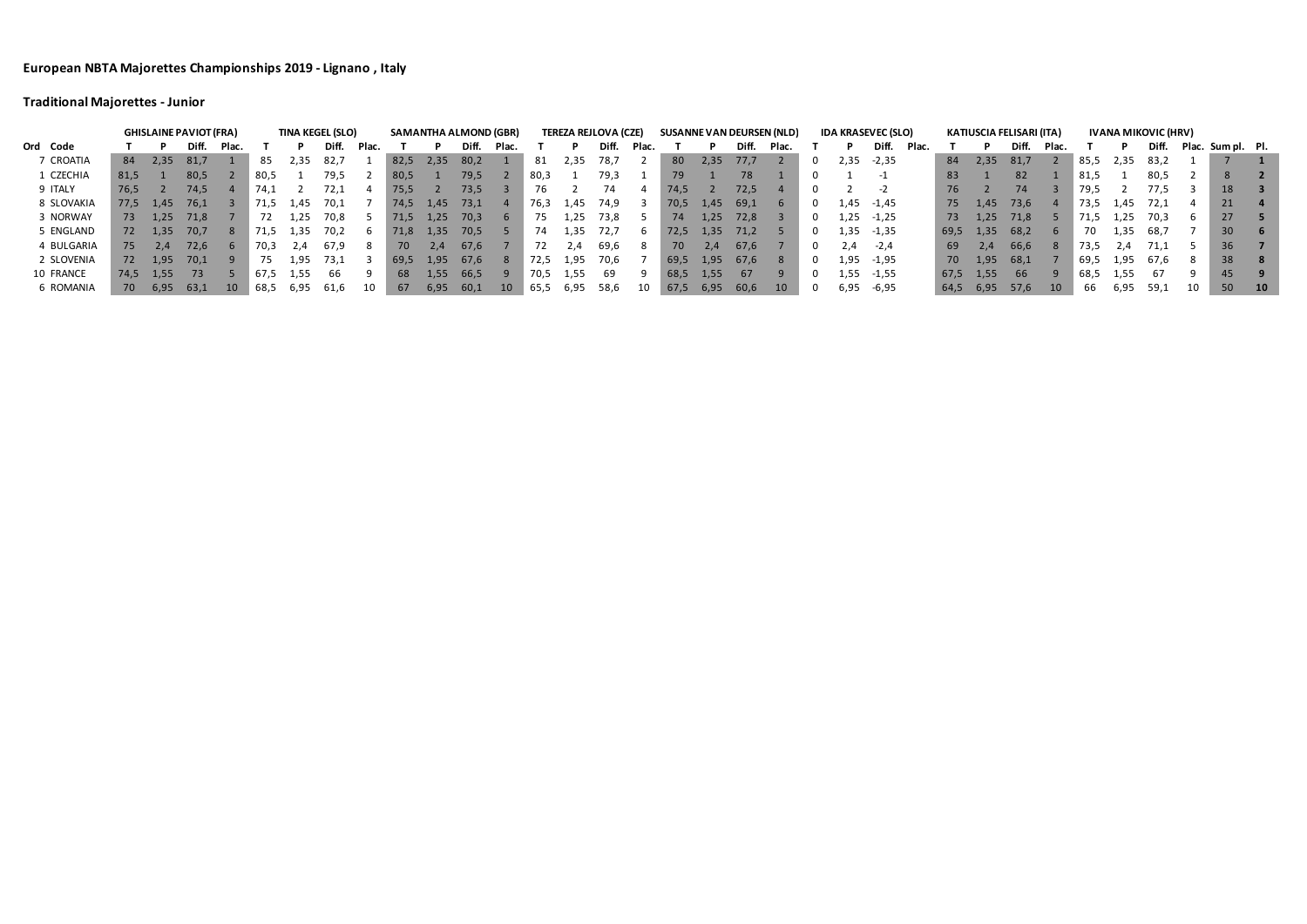# **Traditional Majorettes - Junior**

|            | <b>GHISLAINE PAVIOT (FRA)</b> |      |       |                 |      |       | <b>TINA KEGEL (SLO)</b> |       |      |      | <b>SAMANTHA ALMOND (GBR)</b> |       |      | <b>TEREZA REJLOVA (CZE)</b> |       |       |      |      |       | <b>SUSANNE VAN DEURSEN (NLD)</b> |   | <b>IDA KRASEVEC (SLO)</b> |              |       |      |         | KATIUSCIA FELISARI (ITA) |       |      |      | <b>IVANA MIKOVIC (HRV)</b> |    |                   |    |
|------------|-------------------------------|------|-------|-----------------|------|-------|-------------------------|-------|------|------|------------------------------|-------|------|-----------------------------|-------|-------|------|------|-------|----------------------------------|---|---------------------------|--------------|-------|------|---------|--------------------------|-------|------|------|----------------------------|----|-------------------|----|
| Ord Code   |                               |      | Diff. | Plac.           |      |       |                         | Plac. |      |      | Diff.                        | Plac. |      |                             | Diff. | Plac. |      |      | Diff. | <b>Plac</b>                      |   |                           | Diff.        | Plac. |      |         | Diff.                    | Plac. |      |      | Diff.                      |    | Plac. Sum pl. Pl. |    |
| 7 CROATIA  | 84                            | 2,35 | 81,7  |                 | 85   | 2,35  | 82,7                    |       | 82,5 | 2,35 | 80,2                         |       | 81   | 2,35                        | 78,7  |       | 80   | 2,35 | 77.7  |                                  | 0 | 2,35                      | $-2,35$      |       | 84   | 2,35    | 81,7                     |       | 85,5 | 2,35 | 83,2                       |    |                   |    |
| 1 CZECHIA  | 81,5                          |      | 80,5  |                 | 80,5 |       | 79,5                    |       | 80,5 |      | 79,5                         |       | 80,3 |                             | 79,3  |       | 79.  |      | 78    |                                  |   |                           |              |       | 83   |         | 82                       |       | 81,5 |      | 80,5                       |    | 8                 |    |
| 9 ITALY    | 76,5                          |      | 74,5  |                 | 74,1 |       | 72,1                    |       | 75,5 |      | 73,5                         |       | 76.  |                             | 74    |       | 74.5 |      | 72,5  |                                  |   |                           |              |       | 76   |         | 74                       |       | 79,5 |      | 77,5                       |    | 18 <sup>°</sup>   |    |
| 8 SLOVAKIA | 77,5                          | 1,45 | 76,1  |                 | 71,5 | 1,45  | 70,1                    |       | 74,5 | 1,45 | 73,1                         |       | 76,3 | 1,45                        | 74,9  |       | 70,5 | 1,45 | -69,1 |                                  | 0 |                           | $1,45 -1,45$ |       | 75   | 1.45    | 73,6                     |       | 73,5 | 1,45 | -72,1                      |    | 21                |    |
| 3 NORWAY   | 73                            | 1,25 | 71,8  |                 |      | 1,25  | 70.8                    |       | 71,5 | 1,25 | 70,3                         |       | 75.  | −25. ∡                      | 73,8  |       | 74   | 1,25 | 72,8  |                                  | 0 |                           | $1,25 -1,25$ |       | 73   | 1.25    | 71,8                     |       | 71,5 | 1,25 | -70,3                      |    | 27                |    |
| 5 ENGLAND  | 72                            | 1,35 | 70,7  |                 | 71,5 | −35.ء | 70.2                    | h     | 71,8 | 1,35 | 70,5                         |       | 74   | ⊥,35                        | 72,7  |       | 72,5 | 1,35 | 71,2  |                                  | 0 |                           | $1,35 -1,35$ |       | 69,5 | 1,35    | 68,2                     |       | 70 - | 1,35 | 68,7                       |    | 30 <sup>°</sup>   |    |
| 4 BULGARIA | 75                            | 2.4  | 72,6  |                 | 70,3 | 2.4   | 67.9                    | -8    | 70   | 2.4  | 67,6                         |       |      | 2.4                         | 69,6  |       | 70 - | 2.4  | 67,6  |                                  | 0 | 2.4                       | -2.4         |       | 69   | 2.4     | 66.6                     | -8    | 73,5 | 2.4  | 71,1                       |    | 36                |    |
| 2 SLOVENIA | 72                            | 1,95 | 70,1  |                 | 75   | 1,95  | 73,1                    |       | 69.5 | 1.95 | 67,6                         |       | 72,5 | 1,95                        | 70,6  |       | 69,5 | 1,95 | 67.6  |                                  | 0 | 1,95                      | -1,95        |       |      | 70 1,95 | 68,1                     |       | 69,5 | 1,95 | 67.6                       | -8 | 38                |    |
| 10 FRANCE  | 74,5                          | 1,55 | 73    |                 | 67.5 | 1,55  | 66                      |       | 68   | 1,55 | 66,5                         |       | 70,5 | 1,55                        |       |       | 68,5 | 1,55 | 67    |                                  | 0 |                           | $1,55 -1,55$ |       | 67,5 | 1,55    | -66                      |       | 68,5 | 1,55 | -67                        |    | 45                |    |
| 6 ROMANIA  | 70                            | 6,95 | 63,1  | 10 <sup>°</sup> | 68,5 | 6,95  | 61,6                    |       | 67   | 6,95 | -60,1                        | 10    | 65,5 | 6,95                        | 58,6  |       | 67,5 | 6,95 | 60,6  | 10 <sup>°</sup>                  | 0 | 6,95                      | -6,95        |       | 64,5 | 6,95    | 57,6                     | 10    | 66   | 6,95 | 59,1                       | 10 | 50                | 10 |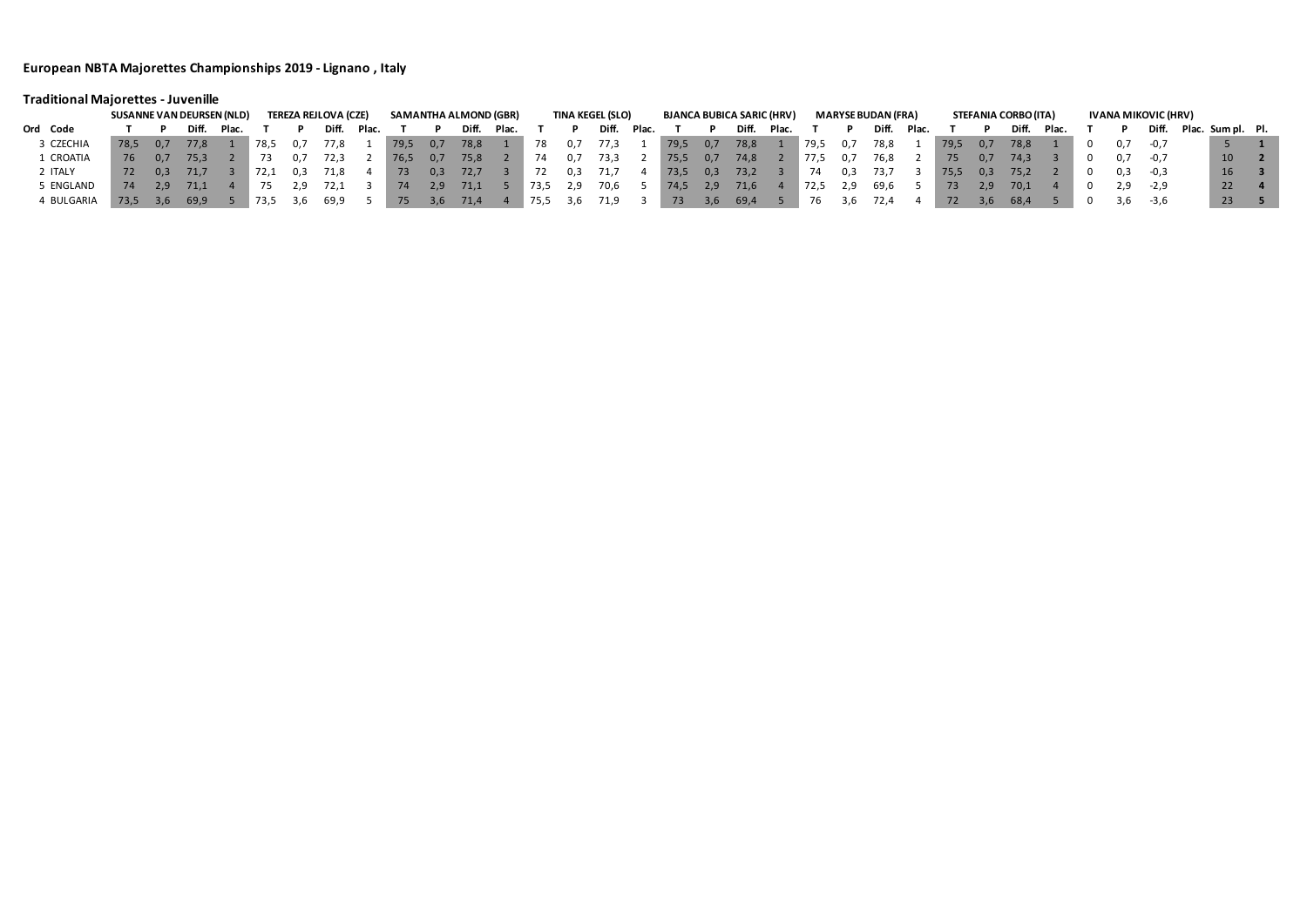# **Traditional Majorettes - Juvenille**

|            | <b>TEREZA REJLOVA (CZE)</b><br><b>SUSANNE VAN DEURSEN (NLD)</b> |     |       |       |      |        |       |       |                |     |       | SAMANTHA ALMOND (GBR) |      |            | <b>TINA KEGEL (SLO)</b> |       |      |     | <b>BJANCA BUBICA SARIC (HRV)</b> |       |      |     | MARYSE BUDAN (FRA) |       |      |     | STEFANIA CORBO (ITA) |       |     | IVANA MIKOVIC (HRV) |                         |  |
|------------|-----------------------------------------------------------------|-----|-------|-------|------|--------|-------|-------|----------------|-----|-------|-----------------------|------|------------|-------------------------|-------|------|-----|----------------------------------|-------|------|-----|--------------------|-------|------|-----|----------------------|-------|-----|---------------------|-------------------------|--|
| Ord Code   |                                                                 |     | Diff. | Plac. |      |        | Diff. | Plac. |                |     | Dift. | Plac.                 |      |            | Diff.                   | Plac. |      |     | Diff.                            | Plac. |      |     | Diff.              | Plac. |      |     | Diff.                | Plac. |     |                     | Diff. Plac. Sum pl. Pl. |  |
| 3 CZECHIA  | 78.5                                                            | 0.7 | 77.8  |       | 78.5 |        | 77,8  |       | $ 79,5\rangle$ | 0,7 | 78,8  |                       | 78   | 0.1        | 77,3                    |       | 79,5 | 0,7 | 78,8                             |       | 79,5 | 0.7 | 78,8               |       | 79,5 | 0.7 | 78,8                 |       |     | -0.7                |                         |  |
| L CROATIA  | 76                                                              | 0.7 | 75,3  |       | 73   |        | 72.3  |       | $\sqrt{76.5}$  | 0,7 | 75,8  |                       | /4   |            | 73,3                    |       | 75,5 | 0,7 | 74,8                             |       | 77.5 | U./ |                    |       | 75   | 0.7 | 74.3                 |       |     | $-0,7$              | 10 <sup>°</sup>         |  |
| ! ITALY    | 72                                                              | 0.3 | 71.7  |       | 72,1 | -0.3   | 71.8  |       | 73             | 0.3 | 72,7  |                       |      | <b>U.3</b> |                         |       | 73,5 | 0,3 | 73,2                             |       | 74   | U.S | -73.7              |       | 75,5 | 0.3 | 75.2                 |       |     | $-0.3$              | <b>16</b>               |  |
| 5 ENGLAND  | 74                                                              | 2.9 | 71,1  |       |      |        | 72.1  |       | 74             |     | 71,1  |                       | 73,5 |            | 70,6                    |       | 74,5 | 2,9 | 71,6                             |       | 72,5 | 2,9 | 69,6               |       | 73   | 2.9 | 70,1                 |       |     | 2,9 -2,9            | 22 <sub>1</sub>         |  |
| 4 BULGARIA | 73.5                                                            | 3.6 | 69,9  |       | 73,5 | - 3, b | 69,9  |       | 75             |     | 71,4  |                       |      |            |                         |       | 73   | 3,6 | 69,4                             |       | 76   | 3,6 | 72,4               |       | 72   | 3,6 | 68,4                 |       | 3,6 | $-3,6$              | 23                      |  |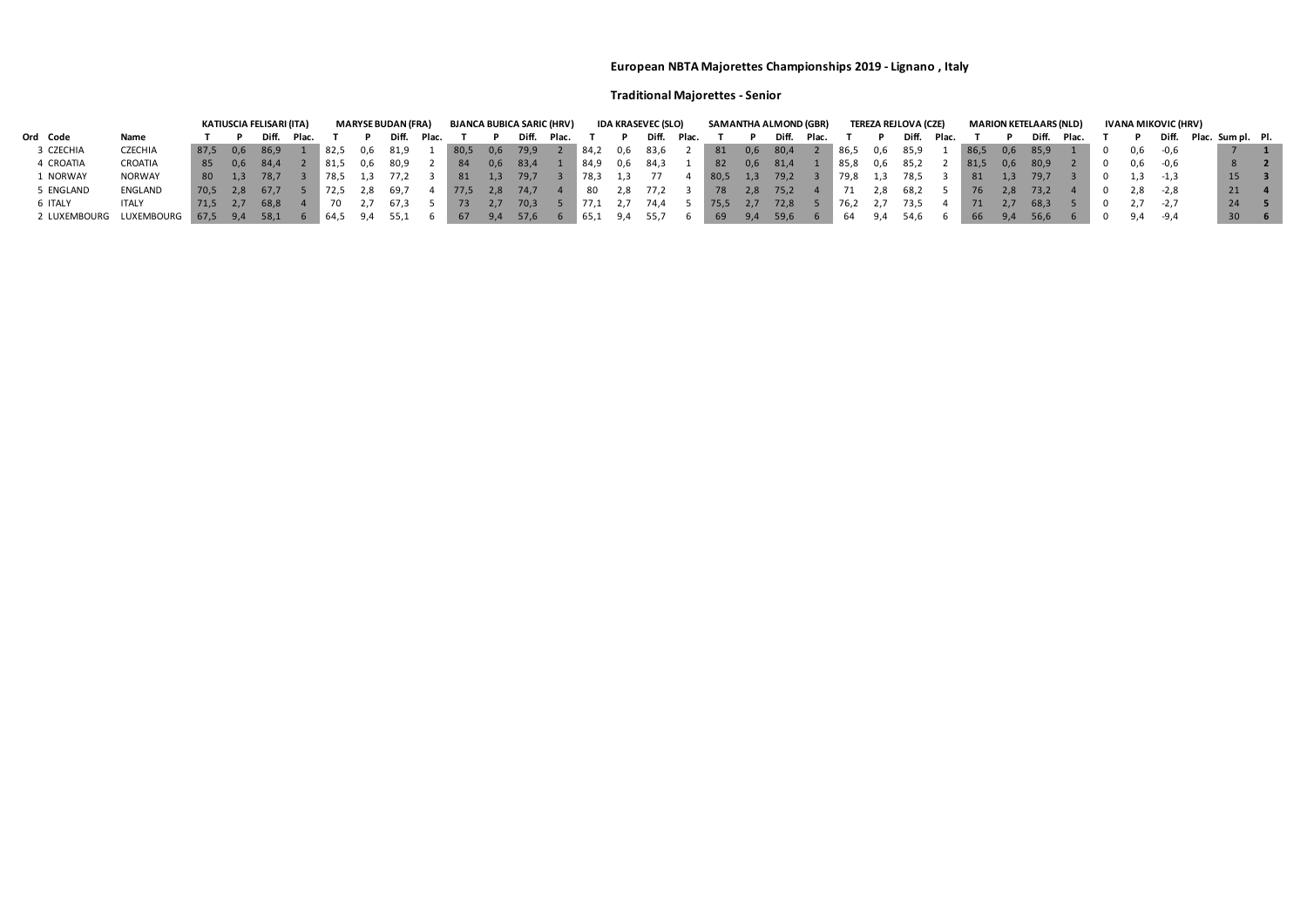## **Traditional Majorettes - Senior**

|              |                |      |                  | KATIUSCIA FELISARI (ITA) |             |               |     | <b>MARYSE BUDAN (FRA)</b> |       |      |     | <b>BJANCA BUBICA SARIC (HRV)</b> |       |      |     | <b>IDA KRASEVEC (SLO)</b> |       |       |     | SAMANTHA ALMOND (GBR) |       |      |     | <b>TEREZA REJLOVA (CZE)</b> |       |      |     | <b>MARION KETELAARS (NLD)</b> |       |     | IVANA MIKOVIC (HRV) |                         |                 |  |
|--------------|----------------|------|------------------|--------------------------|-------------|---------------|-----|---------------------------|-------|------|-----|----------------------------------|-------|------|-----|---------------------------|-------|-------|-----|-----------------------|-------|------|-----|-----------------------------|-------|------|-----|-------------------------------|-------|-----|---------------------|-------------------------|-----------------|--|
| Ord Code     | Name           |      |                  | Diff.                    | <b>Plac</b> |               |     | Diff.                     | Plac. |      |     | Diff.                            | Plac. |      |     | Diff.                     | Plac. |       |     | Diff.                 | Plac. |      |     | Diff.                       | Plac. |      |     | Diff.                         | Plac. |     |                     | Diff. Plac. Sum pl. Pl. |                 |  |
| 3 CZECHIA    | <b>CZECHIA</b> | 87.5 | 0.6              | - 86,9                   |             | $\sqrt{82.5}$ | 0,6 | 81,9                      |       | 80,5 | 0,6 | 79,9                             |       | 84,2 | 0,6 | 83,6                      |       | -81   | 0,6 | 80,4                  |       | 86,5 | 0,6 | 85,9                        |       | 86,5 | 0,6 | 85,9                          |       | 0,6 | -0,6                |                         |                 |  |
| 4 CROATIA    | CROATIA        | 85   | 0.6              | -84,4                    |             | ™ 81,5        | 0,6 | 80,9                      |       | 84   | 0,6 | -83,4                            |       | 84,9 | 0,6 | -84,3                     |       | -82   | 0,6 | -81,4                 |       | 85,8 | 0,6 | 85,2                        |       | 81,5 | 0,6 | 80,9                          |       | 0,6 | -0,6                |                         |                 |  |
| L NORWAY     | NORWAY         | 80 — | 1.3 <sup>°</sup> | -78,7                    |             | ™ 78,5        |     | 77,2                      |       | 81   | 1,3 | 79,7                             |       | 78,3 |     |                           |       | -80,5 | 1,3 | 79,2                  |       | 79,8 | 1,3 | 78,5                        |       | -81  |     | 79,7                          |       |     | -1.3                |                         | 15              |  |
| 5 ENGLAND    | ENGLAND        | 70.5 | 2.8              | 67.7                     |             | " 72,5        |     | -69,7                     |       | 77,5 | 2,8 | 74,7                             |       | 80.  | 2.8 | 77.2                      |       | 78    | 2,8 | 75,2                  |       |      | ∠,8 | 68,2                        |       | 76   | 2,8 | 73,2                          |       | 2.8 | -2,8                |                         | $21 \quad 4$    |  |
| 6 ITALY      | <b>ITALY</b>   | 71.5 | 2.1              | 68,8                     |             |               |     | 67,3                      |       | 73   | 2.1 | 70,3                             |       |      |     | 74,4                      |       | -75,5 | 2,7 | 72,8                  |       | 76.2 |     | 73,5                        |       | 71   |     | 68,3                          |       |     | -2,7                |                         | 24 5            |  |
| 2 LUXEMBOURG | LUXEMBOURG     | 67,5 | 9.4              | 58,1                     |             | 64,5          |     |                           |       | 67   | 9,4 | 57,6                             |       | 65,1 | 9,4 | -55,7                     |       | 69    | 9,4 | 59,6                  |       |      |     | 54,6                        |       | -66  | 9,4 | 56,6                          |       | 9,4 | -9,4                |                         | 30 <sup>2</sup> |  |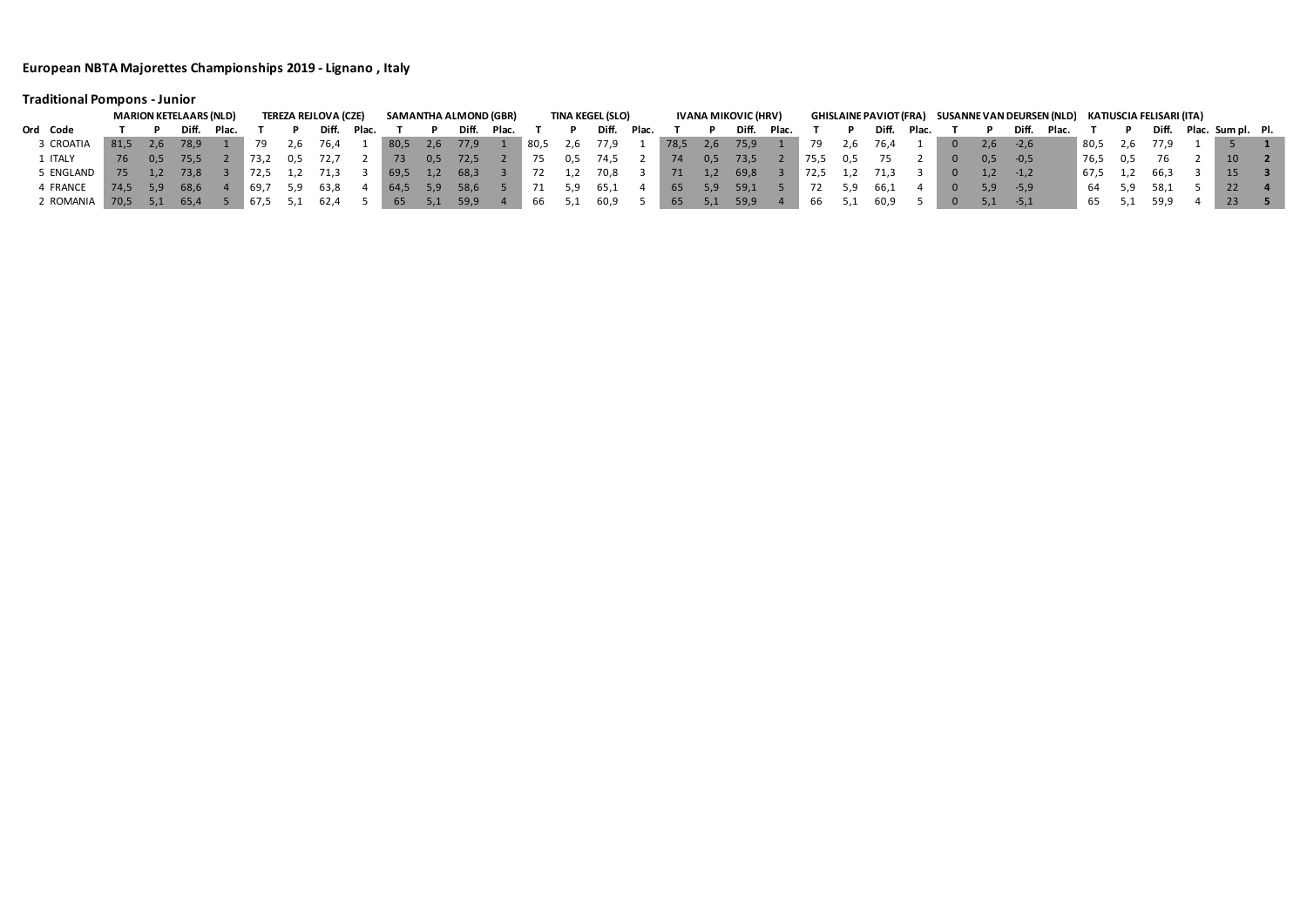# **Traditional Pompons - Junior**

|                | <b>MARION KETELAARS (NLD)</b> |     |       |       |       | TEREZA REJLOVA (CZE) |       |       |      | SAMANTHA ALMOND (GBR) |       |       |      |     | <b>TINA KEGEL (SLO)</b> |       | IVANA MIKOVIC (HRV) |                   |       |       |      |     |        | GHISLAINE PAVIOT (FRA) SUSANNE VAN DEURSEN (NLD) KATIUSCIA FELISARI (ITA) |                |     |        |       |            |     |      |  |                         |  |
|----------------|-------------------------------|-----|-------|-------|-------|----------------------|-------|-------|------|-----------------------|-------|-------|------|-----|-------------------------|-------|---------------------|-------------------|-------|-------|------|-----|--------|---------------------------------------------------------------------------|----------------|-----|--------|-------|------------|-----|------|--|-------------------------|--|
| Ord Code       |                               |     | Diff. | Plac. |       |                      | Diff. | Plac. |      |                       | Diff. | Plac. |      |     | Diff.                   | Plac. |                     |                   | Diff. | Plac. |      |     | Diff.  | Plac.                                                                     |                |     | Diff.  | Plac. |            |     |      |  | Diff. Plac. Sum pl. Pl. |  |
| 3 CROATIA      | 81,5                          | 2.6 | 78,9  |       |       |                      | 76.4  |       | 80,5 | 2,6                   | 77,9  |       | 80,5 | Z.b | 77,9                    |       | 78,5                | 2,6               | 75,9  |       |      | 2.b | 76.4   |                                                                           | $\overline{0}$ | 2.6 | $-2.6$ |       | 80,5       | 2,6 | 77.9 |  |                         |  |
| <b>1 ITALY</b> | 76                            | 0.5 | 75.5  |       | 73.2  | -0.5                 |       |       | 73   | 0.5                   | 72,5  |       |      | 0,5 | ـ 74,                   |       | 74                  | 0.5               | 73,5  |       | 75,5 | 0.5 |        |                                                                           | $\overline{0}$ | 0.5 | $-0.5$ |       | 76,5       | 0.5 |      |  |                         |  |
| 5 ENGLAND      |                               |     | 73.8  |       |       |                      | 71.3  |       | 69,5 |                       | 68,3  |       |      |     | 70,8                    |       | 71                  | $\perp$ . $\perp$ | 69,8  |       | 72,5 |     |        |                                                                           | $\mathbf{0}$   | 1.2 | $-1.2$ |       | 4 67,5 1,2 |     | 66,5 |  |                         |  |
| 4 FRANCE       | 74.5                          |     | 68,6  |       | -69,7 |                      | 63,8  |       | 64,5 | 5,9                   | 58,6  |       |      |     | 65,⊥                    |       | 65                  | 5.9               | 59,1  |       |      |     | - 66,1 |                                                                           | $\overline{0}$ | 5.9 | -5,9   |       | -64        | 5,9 | 58,1 |  | 22                      |  |
| 2 ROMANIA      | 70,5                          | 5.1 | 65,4  |       | -67.5 |                      | 62,4  |       | 65   | 5.1                   | 59,9  |       | bb   |     | 60,9                    |       | 65                  | 5.1               | 59,9  |       |      |     | 60,9   |                                                                           | $\mathbf{0}$   | 5.1 | $-5,1$ |       | כס         |     | 59.9 |  | 23 <sub>l</sub>         |  |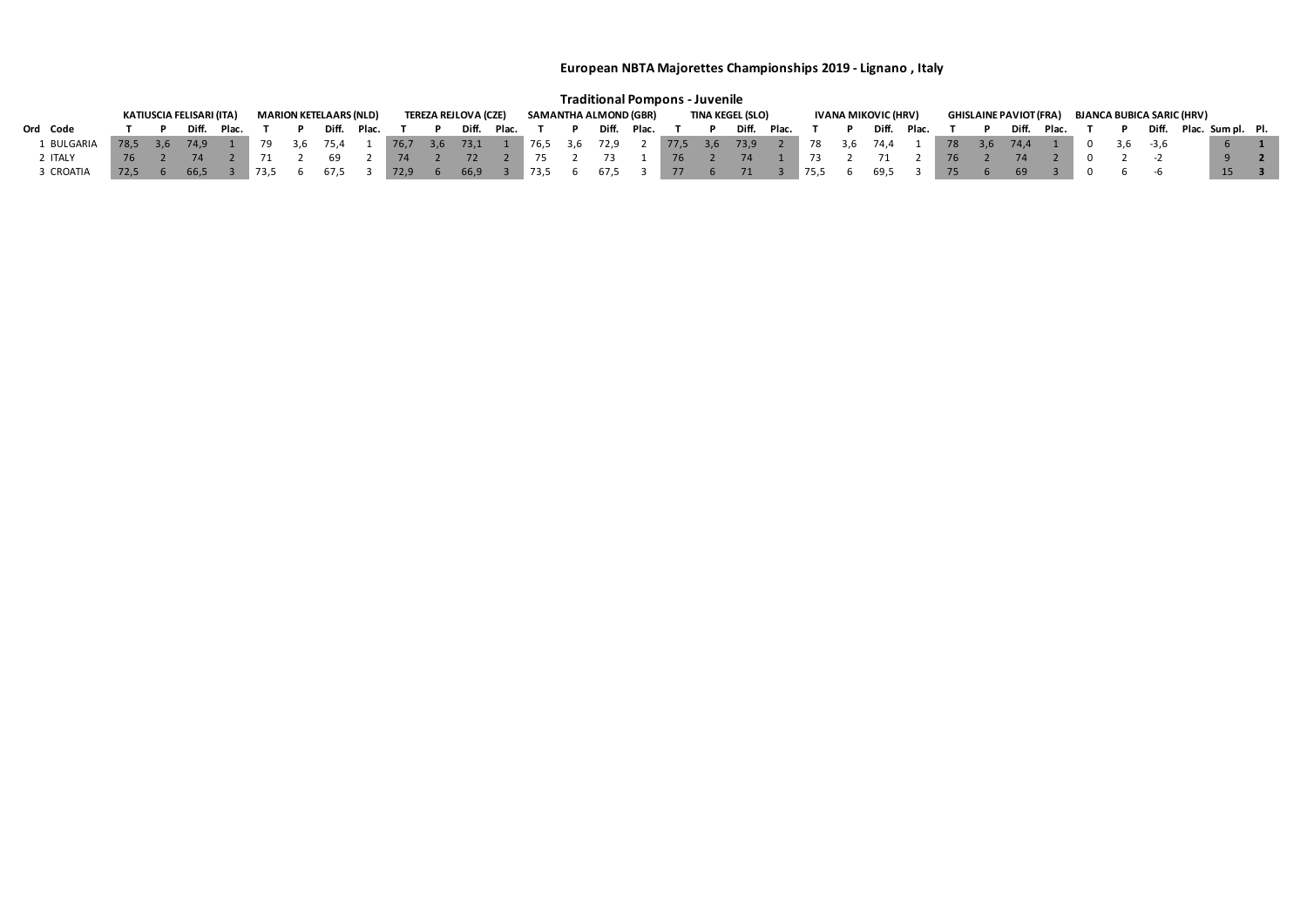|            |      |                          |  |       |                               |       |                             |     |             |  |                       |  | <b>Traditional Pompons - Juvenile</b> |             |                         |              |       |       |      |       |                     |       |                                                                   |     |       |       |  |  |                  |                         |                 |  |
|------------|------|--------------------------|--|-------|-------------------------------|-------|-----------------------------|-----|-------------|--|-----------------------|--|---------------------------------------|-------------|-------------------------|--------------|-------|-------|------|-------|---------------------|-------|-------------------------------------------------------------------|-----|-------|-------|--|--|------------------|-------------------------|-----------------|--|
|            |      | KATIUSCIA FELISARI (ITA) |  |       | <b>MARION KETELAARS (NLD)</b> |       | <b>TEREZA REJLOVA (CZE)</b> |     |             |  | SAMANTHA ALMOND (GBR) |  |                                       |             | <b>TINA KEGEL (SLO)</b> |              |       |       |      |       | IVANA MIKOVIC (HRV) |       | <b>GHISLAINE PAVIOT (FRA)</b><br><b>BJANCA BUBICA SARIC (HRV)</b> |     |       |       |  |  |                  |                         |                 |  |
| Ord Code   |      | Diff. Plac.              |  |       | Diff.                         | Plac. |                             |     | Diff. Plac. |  |                       |  |                                       | Diff. Plac. |                         |              | Diff. | Plac. |      |       | Diff.               | Plac. |                                                                   |     | Diff. | Plac. |  |  |                  | Diff. Plac. Sum pl. Pl. |                 |  |
| 1 BULGARIA | 78.5 | 3.6 74.9                 |  | - 3.6 | 75.4                          |       | 76,7                        | 3,6 | 73,1        |  | 76,5                  |  | 3,6 72,9                              |             | 77,5                    | 3,6          | 73,9  |       | 78   | - 3.6 | 74.4                |       | 78                                                                | 3.6 | 74.4  |       |  |  | $0 \t3.6 \t-3.6$ |                         |                 |  |
| ⊥ ITALY I  | 76   |                          |  |       |                               |       |                             |     |             |  |                       |  |                                       |             | 76                      |              |       |       |      |       |                     |       |                                                                   |     |       |       |  |  |                  |                         |                 |  |
| 3 CROATIA  | 72.5 | 66.5                     |  |       | 67.5                          |       | 72,9                        |     | 66,9        |  | 73,5                  |  | 67,5                                  |             | 77                      | $\mathsf{h}$ |       |       | 75,5 |       | 69.5                |       |                                                                   |     |       |       |  |  |                  |                         | 15 <sup>2</sup> |  |